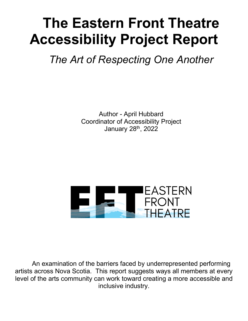# **The Eastern Front Theatre Accessibility Project Report**

*The Art of Respecting One Another*

Author - April Hubbard Coordinator of Accessibility Project January 28<sup>th</sup>, 2022



An examination of the barriers faced by underrepresented performing artists across Nova Scotia. This report suggests ways all members at every level of the arts community can work toward creating a more accessible and inclusive industry.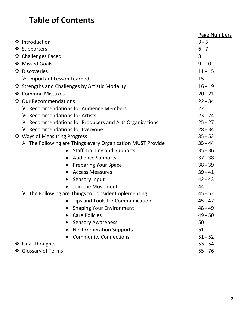### **Table of Contents**

|                                                                           | <b>Page Numbers</b> |
|---------------------------------------------------------------------------|---------------------|
| ❖ Introduction                                                            | $3 - 5$             |
| ❖ Supporters                                                              | $6 - 7$             |
| ❖ Challenges Faced                                                        | 8                   |
| ❖ Missed Goals                                                            | $9 - 10$            |
| ❖ Discoveries                                                             | $11 - 15$           |
| $\triangleright$ Important Lesson Learned                                 | 15                  |
| ❖ Strengths and Challenges by Artistic Modality                           | $16 - 19$           |
| ❖ Common Mistakes                                                         | $20 - 21$           |
| ❖ Our Recommendations                                                     | $22 - 34$           |
| $\triangleright$ Recommendations for Audience Members                     | 22                  |
| $\triangleright$ Recommendations for Artists                              | $23 - 24$           |
| $\triangleright$ Recommendations for Producers and Arts Organizations     | $25 - 27$           |
| $\triangleright$ Recommendations for Everyone                             | $28 - 34$           |
| ❖ Ways of Measuring Progress                                              | $35 - 52$           |
| $\triangleright$ The Following are Things every Organization MUST Provide | $35 - 44$           |
| <b>Staff Training and Supports</b>                                        | $35 - 36$           |
| <b>Audience Supports</b><br>$\bullet$                                     | $37 - 38$           |
| <b>Preparing Your Space</b>                                               | $38 - 39$           |
| <b>Access Measures</b>                                                    | $39 - 41$           |
| Sensory Input                                                             | $42 - 43$           |
| Join the Movement                                                         | 44                  |
| $\triangleright$ The Following are Things to Consider Implementing        | $45 - 52$           |
| Tips and Tools for Communication                                          | $45 - 47$           |
| <b>Shaping Your Environment</b>                                           | 48 - 49             |
| <b>Care Policies</b>                                                      | 49 - 50             |
| <b>Sensory Awareness</b>                                                  | 50                  |
| <b>Next Generation Supports</b>                                           | 51                  |
| <b>Community Connections</b>                                              | $51 - 52$           |
| ❖ Final Thoughts                                                          | $53 - 54$           |
| ❖ Glossary of Terms                                                       | $55 - 76$           |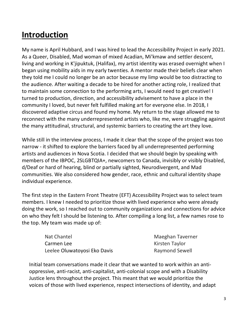### **Introduction**

My name is April Hubbard, and I was hired to lead the Accessibility Project in early 2021. As a Queer, Disabled, Mad woman of mixed Acadian, Mi'kmaw and settler descent, living and working in K'jipuktuk, (Halifax), my artist identity was erased overnight when I began using mobility aids in my early twenties. A mentor made their beliefs clear when they told me I could no longer be an actor because my limp would be too distracting to the audience. After waiting a decade to be hired for another acting role, I realized that to maintain some connection to the performing arts, I would need to get creative! I turned to production, direction, and accessibility advisement to have a place in the community I loved, but never felt fulfilled making art for everyone else. In 2018, I discovered adaptive circus and found my home. My return to the stage allowed me to reconnect with the many underrepresented artists who, like me, were struggling against the many attitudinal, structural, and systemic barriers to creating the art they love.

While still in the interview process, I made it clear that the scope of the project was too narrow - it shifted to explore the barriers faced by all underrepresented performing artists and audiences in Nova Scotia. I decided that we should begin by speaking with members of the IBPOC, 2SLGBTQIA+, newcomers to Canada, invisibly or visibly Disabled, d/Deaf or hard of hearing, blind or partially sighted, Neurodivergent, and Mad communities. We also considered how gender, race, ethnic and cultural identity shape individual experience.

The first step in the Eastern Front Theatre (EFT) Accessibility Project was to select team members. I knew I needed to prioritize those with lived experience who were already doing the work, so I reached out to community organizations and connections for advice on who they felt I should be listening to. After compiling a long list, a few names rose to the top. My team was made up of:

| Nat Chantel                  | Maeghan Taverner      |
|------------------------------|-----------------------|
| Carmen Lee                   | Kirsten Taylor        |
| Leelee Oluwatoyosi Eko Davis | <b>Raymond Sewell</b> |

Initial team conversations made it clear that we wanted to work within an antioppressive, anti-racist, anti-capitalist, anti-colonial scope and with a Disability Justice lens throughout the project. This meant that we would prioritize the voices of those with lived experience, respect intersections of identity, and adapt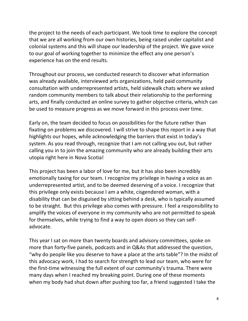the project to the needs of each participant. We took time to explore the concept that we are all working from our own histories, being raised under capitalist and colonial systems and this will shape our leadership of the project. We gave voice to our goal of working together to minimize the effect any one person's experience has on the end results.

Throughout our process, we conducted research to discover what information was already available, interviewed arts organizations, held paid community consultation with underrepresented artists, held sidewalk chats where we asked random community members to talk about their relationship to the performing arts, and finally conducted an online survey to gather objective criteria, which can be used to measure progress as we move forward in this process over time.

Early on, the team decided to focus on possibilities for the future rather than fixating on problems we discovered. I will strive to shape this report in a way that highlights our hopes, while acknowledging the barriers that exist in today's system. As you read through, recognize that I am not calling you out, but rather calling you in to join the amazing community who are already building their arts utopia right here in Nova Scotia!

This project has been a labor of love for me, but it has also been incredibly emotionally taxing for our team. I recognize my privilege in having a voice as an underrepresented artist, and to be deemed deserving of a voice. I recognize that this privilege only exists because I am a white, cisgendered woman, with a disability that can be disguised by sitting behind a desk, who is typically assumed to be straight. But this privilege also comes with pressure. I feel a responsibility to amplify the voices of everyone in my community who are not permitted to speak for themselves, while trying to find a way to open doors so they can selfadvocate.

This year I sat on more than twenty boards and advisory committees, spoke on more than forty-five panels, podcasts and in Q&As that addressed the question, "why do people like you deserve to have a place at the arts table"? In the midst of this advocacy work, I had to search for strength to lead our team, who were for the first-time witnessing the full extent of our community's trauma. There were many days when I reached my breaking point. During one of these moments when my body had shut down after pushing too far, a friend suggested I take the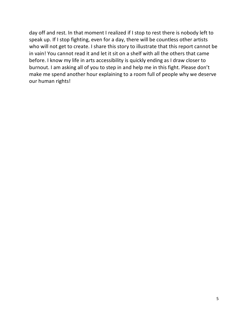day off and rest. In that moment I realized if I stop to rest there is nobody left to speak up. If I stop fighting, even for a day, there will be countless other artists who will not get to create. I share this story to illustrate that this report cannot be in vain! You cannot read it and let it sit on a shelf with all the others that came before. I know my life in arts accessibility is quickly ending as I draw closer to burnout. I am asking all of you to step in and help me in this fight. Please don't make me spend another hour explaining to a room full of people why we deserve our human rights!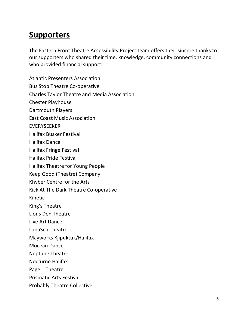#### **Supporters**

The Eastern Front Theatre Accessibility Project team offers their sincere thanks to our supporters who shared their time, knowledge, community connections and who provided financial support:

Atlantic Presenters Association Bus Stop Theatre Co-operative Charles Taylor Theatre and Media Association Chester Playhouse Dartmouth Players East Coast Music Association EVERYSEEKER Halifax Busker Festival Halifax Dance Halifax Fringe Festival Halifax Pride Festival Halifax Theatre for Young People Keep Good (Theatre) Company Khyber Centre for the Arts Kick At The Dark Theatre Co-operative Kinetic King's Theatre Lions Den Theatre Live Art Dance LunaSea Theatre Mayworks Kjipuktuk/Halifax Mocean Dance Neptune Theatre Nocturne Halifax Page 1 Theatre Prismatic Arts Festival Probably Theatre Collective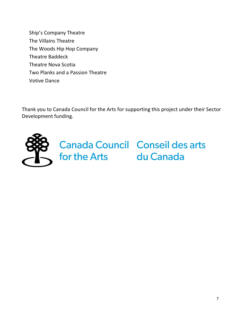Ship's Company Theatre The Villains Theatre The Woods Hip Hop Company Theatre Baddeck Theatre Nova Scotia Two Planks and a Passion Theatre Votive Dance

Thank you to Canada Council for the Arts for supporting this project under their Sector Development funding.

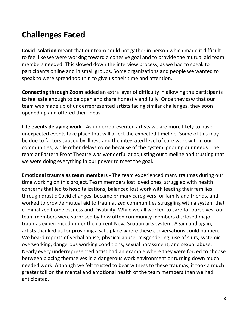# **Challenges Faced**

**Covid isolation** meant that our team could not gather in person which made it difficult to feel like we were working toward a cohesive goal and to provide the mutual aid team members needed. This slowed down the interview process, as we had to speak to participants online and in small groups. Some organizations and people we wanted to speak to were spread too thin to give us their time and attention.

**Connecting through Zoom** added an extra layer of difficulty in allowing the participants to feel safe enough to be open and share honestly and fully. Once they saw that our team was made up of underrepresented artists facing similar challenges, they soon opened up and offered their ideas.

**Life events delaying work -** As underrepresented artists we are more likely to have unexpected events take place that will affect the expected timeline. Some of this may be due to factors caused by illness and the integrated level of care work within our communities, while other delays come because of the system ignoring our needs. The team at Eastern Front Theatre was wonderful at adjusting our timeline and trusting that we were doing everything in our power to meet the goal.

**Emotional trauma as team members -** The team experienced many traumas during our time working on this project. Team members lost loved ones, struggled with health concerns that led to hospitalizations, balanced lost work with leading their families through drastic Covid changes, became primary caregivers for family and friends, and worked to provide mutual aid to traumatized communities struggling with a system that criminalized homelessness and Disability. While we all worked to care for ourselves, our team members were surprised by how often community members disclosed major traumas experienced under the current Nova Scotian arts system. Again and again, artists thanked us for providing a safe place where these conversations could happen. We heard reports of verbal abuse, physical abuse, misgendering, use of slurs, systemic overworking, dangerous working conditions, sexual harassment, and sexual abuse. Nearly every underrepresented artist had an example where they were forced to choose between placing themselves in a dangerous work environment or turning down much needed work. Although we felt trusted to bear witness to these traumas, it took a much greater toll on the mental and emotional health of the team members than we had anticipated.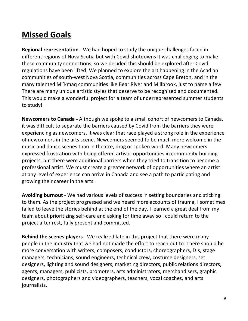# **Missed Goals**

**Regional representation -** We had hoped to study the unique challenges faced in different regions of Nova Scotia but with Covid shutdowns it was challenging to make these community connections, so we decided this should be explored after Covid regulations have been lifted. We planned to explore the art happening in the Acadian communities of south-west Nova Scotia, communities across Cape Breton, and in the many talented Mi'kmaq communities like Bear River and Millbrook, just to name a few. There are many unique artistic styles that deserve to be recognized and documented. This would make a wonderful project for a team of underrepresented summer students to study!

**Newcomers to Canada -** Although we spoke to a small cohort of newcomers to Canada, it was difficult to separate the barriers caused by Covid from the barriers they were experiencing as newcomers. It was clear that race played a strong role in the experience of newcomers in the arts scene. Newcomers seemed to be much more welcome in the music and dance scenes than in theatre, drag or spoken word. Many newcomers expressed frustration with being offered artistic opportunities in community-building projects, but there were additional barriers when they tried to transition to become a professional artist. We must create a greater network of opportunities where an artist at any level of experience can arrive in Canada and see a path to participating and growing their career in the arts.

**Avoiding burnout** - We had various levels of success in setting boundaries and sticking to them. As the project progressed and we heard more accounts of trauma, I sometimes failed to leave the stories behind at the end of the day. I learned a great deal from my team about prioritizing self-care and asking for time away so I could return to the project after rest, fully present and committed.

**Behind the scenes players -** We realized late in this project that there were many people in the industry that we had not made the effort to reach out to. There should be more conversation with writers, composers, conductors, choreographers, DJs, stage managers, technicians, sound engineers, technical crew, costume designers, set designers, lighting and sound designers, marketing directors, public relations directors, agents, managers, publicists, promoters, arts administrators, merchandisers, graphic designers, photographers and videographers, teachers, vocal coaches, and arts journalists.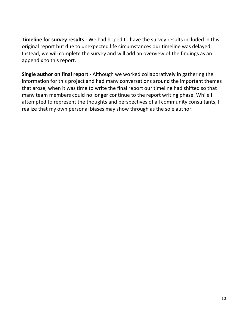**Timeline for survey results -** We had hoped to have the survey results included in this original report but due to unexpected life circumstances our timeline was delayed. Instead, we will complete the survey and will add an overview of the findings as an appendix to this report.

**Single author on final report -** Although we worked collaboratively in gathering the information for this project and had many conversations around the important themes that arose, when it was time to write the final report our timeline had shifted so that many team members could no longer continue to the report writing phase. While I attempted to represent the thoughts and perspectives of all community consultants, I realize that my own personal biases may show through as the sole author.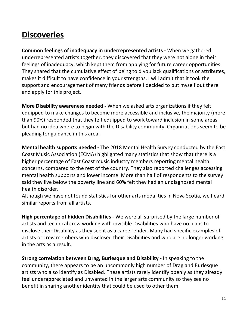## **Discoveries**

**Common feelings of inadequacy in underrepresented artists -** When we gathered underrepresented artists together, they discovered that they were not alone in their feelings of inadequacy, which kept them from applying for future career opportunities. They shared that the cumulative effect of being told you lack qualifications or attributes, makes it difficult to have confidence in your strengths. I will admit that it took the support and encouragement of many friends before I decided to put myself out there and apply for this project.

**More Disability awareness needed -** When we asked arts organizations if they felt equipped to make changes to become more accessible and inclusive, the majority (more than 90%) responded that they felt equipped to work toward inclusion in some areas but had no idea where to begin with the Disability community. Organizations seem to be pleading for guidance in this area.

**Mental health supports needed -** The 2018 Mental Health Survey conducted by the East Coast Music Association (ECMA) highlighted many statistics that show that there is a higher percentage of East Coast music industry members reporting mental health concerns, compared to the rest of the country. They also reported challenges accessing mental health supports and lower income. More than half of respondents to the survey said they live below the poverty line and 60% felt they had an undiagnosed mental health disorder.

Although we have not found statistics for other arts modalities in Nova Scotia, we heard similar reports from all artists.

**High percentage of hidden Disabilities -** We were all surprised by the large number of artists and technical crew working with invisible Disabilities who have no plans to disclose their Disability as they see it as a career ender. Many had specific examples of artists or crew members who disclosed their Disabilities and who are no longer working in the arts as a result.

**Strong correlation between Drag, Burlesque and Disability -** In speaking to the community, there appears to be an uncommonly high number of Drag and Burlesque artists who also identify as Disabled. These artists rarely identify openly as they already feel underappreciated and unwanted in the larger arts community so they see no benefit in sharing another identity that could be used to other them.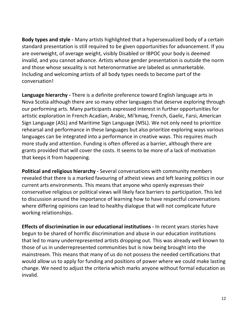**Body types and style -** Many artists highlighted that a hypersexualized body of a certain standard presentation is still required to be given opportunities for advancement. If you are overweight, of average weight, visibly Disabled or IBPOC your body is deemed invalid, and you cannot advance. Artists whose gender presentation is outside the norm and those whose sexuality is not heteronormative are labeled as unmarketable. Including and welcoming artists of all body types needs to become part of the conversation!

**Language hierarchy -** There is a definite preference toward English language arts in Nova Scotia although there are so many other languages that deserve exploring through our performing arts. Many participants expressed interest in further opportunities for artistic exploration in French Acadian, Arabic, Mi'kmaq, French, Gaelic, Farsi, American Sign Language (ASL) and Maritime Sign Language (MSL). We not only need to prioritize rehearsal and performance in these languages but also prioritize exploring ways various languages can be integrated into a performance in creative ways. This requires much more study and attention. Funding is often offered as a barrier, although there are grants provided that will cover the costs. It seems to be more of a lack of motivation that keeps it from happening.

**Political and religious hierarchy -** Several conversations with community members revealed that there is a marked favouring of atheist views and left leaning politics in our current arts environments. This means that anyone who openly expresses their conservative religious or political views will likely face barriers to participation. This led to discussion around the importance of learning how to have respectful conversations where differing opinions can lead to healthy dialogue that will not complicate future working relationships.

**Effects of discrimination in our educational institutions -** In recent years stories have begun to be shared of horrific discrimination and abuse in our education institutions that led to many underrepresented artists dropping out. This was already well known to those of us in underrepresented communities but is now being brought into the mainstream. This means that many of us do not possess the needed certifications that would allow us to apply for funding and positions of power where we could make lasting change. We need to adjust the criteria which marks anyone without formal education as invalid.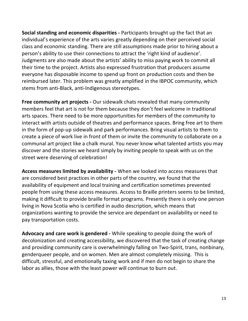**Social standing and economic disparities -** Participants brought up the fact that an individual's experience of the arts varies greatly depending on their perceived social class and economic standing. There are still assumptions made prior to hiring about a person's ability to use their connections to attract the 'right kind of audience'. Judgments are also made about the artists' ability to miss paying work to commit all their time to the project. Artists also expressed frustration that producers assume everyone has disposable income to spend up front on production costs and then be reimbursed later. This problem was greatly amplified in the IBPOC community, which stems from anti-Black, anti-Indigenous stereotypes.

**Free community art projects -** Our sidewalk chats revealed that many community members feel that art is not for them because they don't feel welcome in traditional arts spaces. There need to be more opportunities for members of the community to interact with artists outside of theatres and performance spaces. Bring free art to them in the form of pop-up sidewalk and park performances. Bring visual artists to them to create a piece of work live in front of them or invite the community to collaborate on a communal art project like a chalk mural. You never know what talented artists you may discover and the stories we heard simply by inviting people to speak with us on the street were deserving of celebration!

**Access measures limited by availability -** When we looked into access measures that are considered best practices in other parts of the country, we found that the availability of equipment and local training and certification sometimes prevented people from using these access measures. Access to Braille printers seems to be limited, making it difficult to provide braille format programs. Presently there is only one person living in Nova Scotia who is certified in audio description, which means that organizations wanting to provide the service are dependant on availability or need to pay transportation costs.

**Advocacy and care work is gendered -** While speaking to people doing the work of decolonization and creating accessibility, we discovered that the task of creating change and providing community care is overwhelmingly falling on Two-Spirit, trans, nonbinary, genderqueer people, and on women. Men are almost completely missing. This is difficult, stressful, and emotionally taxing work and if men do not begin to share the labor as allies, those with the least power will continue to burn out.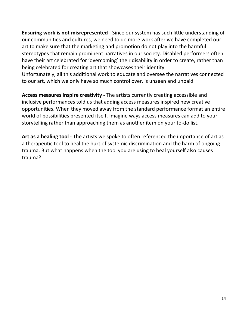**Ensuring work is not misrepresented -** Since our system has such little understanding of our communities and cultures, we need to do more work after we have completed our art to make sure that the marketing and promotion do not play into the harmful stereotypes that remain prominent narratives in our society. Disabled performers often have their art celebrated for 'overcoming' their disability in order to create, rather than being celebrated for creating art that showcases their identity.

Unfortunately, all this additional work to educate and oversee the narratives connected to our art, which we only have so much control over, is unseen and unpaid.

**Access measures inspire creativity -** The artists currently creating accessible and inclusive performances told us that adding access measures inspired new creative opportunities. When they moved away from the standard performance format an entire world of possibilities presented itself. Imagine ways access measures can add to your storytelling rather than approaching them as another item on your to-do list.

Art as a healing tool - The artists we spoke to often referenced the importance of art as a therapeutic tool to heal the hurt of systemic discrimination and the harm of ongoing trauma. But what happens when the tool you are using to heal yourself also causes trauma?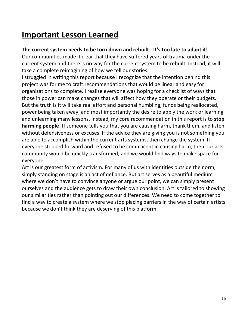# **Important Lesson Learned**

#### **The current system needs to be torn down and rebuilt - It's too late to adapt it!**

Our communities made it clear that they have suffered years of trauma under the current system and there is no way for the current system to be rebuilt. Instead, it will take a complete reimagining of how we tell our stories.

I struggled in writing this report because I recognize that the intention behind this project was for me to craft recommendations that would be linear and easy for organizations to complete. I realize everyone was hoping for a checklist of ways that those in power can make changes that will affect how they operate or their budgets. But the truth is it will take real effort and personal humbling, funds being reallocated, power being taken away, and most importantly the desire to apply the work or learning and unlearning many lessons. Instead, my core recommendation in this report is to **stop harming people**! If someone tells you that you are causing harm, thank them, and listen without defensiveness or excuses. If the advice they are giving you is not something you are able to accomplish within the current arts systems, then change the system. If everyone stepped forward and refused to be complacent in causing harm, then our arts community would be quickly transformed, and we would find ways to make space for everyone.

Art is our greatest form of activism. For many of us with identities outside the norm, simply standing on stage is an act of defiance. But art serves as a beautiful medium where we don't have to convince anyone or argue our point, we can simply present ourselves and the audience gets to draw their own conclusion. Art is tailored to showing our similarities rather than pointing out our differences. We need to come together to find a way to create a system where we stop placing barriers in the way of certain artists because we don't think they are deserving of this platform.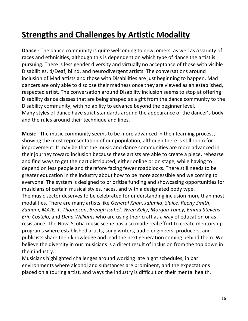# **Strengths and Challenges by Artistic Modality**

**Dance -** The dance community is quite welcoming to newcomers, as well as a variety of races and ethnicities, although this is dependent on which type of dance the artist is pursuing. There is less gender diversity and virtually no acceptance of those with visible Disabilities, d/Deaf, blind, and neurodivergent artists. The conversations around inclusion of Mad artists and those with Disabilities are just beginning to happen. Mad dancers are only able to disclose their madness once they are viewed as an established, respected artist. The conversation around Disability inclusion seems to stop at offering Disability dance classes that are being shaped as a gift from the dance community to the Disability community, with no ability to advance beyond the beginner level. Many styles of dance have strict standards around the appearance of the dancer's body and the rules around their technique and lines.

**Music** - The music community seems to be more advanced in their learning process, showing the most representation of our population, although there is still room for improvement. It may be that the music and dance communities are more advanced in their journey toward inclusion because these artists are able to create a piece, rehearse and find ways to get their art distributed, either online or on stage, while having to depend on less people and therefore facing fewer roadblocks. There still needs to be greater education in the industry about how to be more accessible and welcoming to everyone. The system is designed to prioritize funding and showcasing opportunities for musicians of certain musical styles, races, and with a designated body type. The music sector deserves to be celebrated for understanding inclusion more than most modalities. There are many artists like *General Khan*, *Jahmila*, *Sluice*, *Reeny Smith*, *Zamani*, *MAJE, T. Thompson*, *Breagh Isabel*, *Wren Kelly*, *Morgan Toney, Emma Stevens*, *Erin Costelo*, and *Dena Williams* who are using their craft as a way of education or as resistance. The Nova Scotia music scene has also made real effort to create mentorship programs where established artists, song writers, audio engineers, producers, and publicists share their knowledge and lead the next generation coming behind them. We believe the diversity in our musicians is a direct result of inclusion from the top down in their industry.

Musicians highlighted challenges around working late night schedules, in bar environments where alcohol and substances are prominent, and the expectations placed on a touring artist, and ways the industry is difficult on their mental health.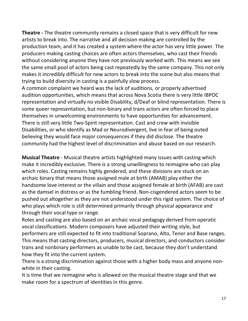**Theatre -** The theatre community remains a closed space that is very difficult for new artists to break into. The narrative and all decision making are controlled by the production team, and it has created a system where the actor has very little power. The producers making casting choices are often actors themselves, who cast their friends without considering anyone they have not previously worked with. This means we see the same small pool of actors being cast repeatedly by the same company. This not only makes it incredibly difficult for new actors to break into the scene but also means that trying to build diversity in casting is a painfully slow process.

A common complaint we heard was the lack of auditions, or properly advertised audition opportunities, which means that across Nova Scotia there is very little IBPOC representation and virtually no visible Disability, d/Deaf or blind representation. There is some queer representation, but non-binary and trans actors are often forced to place themselves in unwelcoming environments to have opportunities for advancement. There is still very little Two-Spirit representation. Cast and crew with invisible Disabilities, or who identify as Mad or Neurodivergent, live in fear of being outed believing they would face major consequences if they did disclose. The theatre community had the highest level of discrimination and abuse based on our research.

**Musical Theatre** - Musical theatre artists highlighted many issues with casting which make it incredibly exclusive. There is a strong unwillingness to reimagine who can play which roles. Casting remains highly gendered, and these divisions are stuck on an archaic binary that means those assigned male at birth (AMAB) play either the handsome love interest or the villain and those assigned female at birth (AFAB) are cast as the damsel in distress or as the fumbling friend. Non-cisgendered actors seem to be pushed out altogether as they are not understood under this rigid system. The choice of who plays which role is still determined primarily through physical appearance and through their vocal type or range.

Roles and casting are also based on an archaic vocal pedagogy derived from operatic vocal classifications. Modern composers have adjusted their writing style, but performers are still expected to fit into traditional Soprano, Alto, Tenor and Base ranges. This means that casting directors, producers, musical directors, and conductors consider trans and nonbinary performers as unable to be cast, because they don't understand how they fit into the current system.

There is a strong discrimination against those with a higher body mass and anyone nonwhite in their casting.

It is time that we reimagine who is allowed on the musical theatre stage and that we make room for a spectrum of identities in this genre.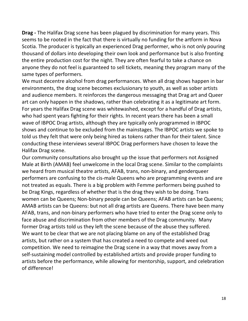**Drag -** The Halifax Drag scene has been plagued by discrimination for many years. This seems to be rooted in the fact that there is virtually no funding for the artform in Nova Scotia. The producer is typically an experienced Drag performer, who is not only pouring thousand of dollars into developing their own look and performance but is also fronting the entire production cost for the night. They are often fearful to take a chance on anyone they do not feel is guaranteed to sell tickets, meaning they program many of the same types of performers.

We must decentre alcohol from drag performances. When all drag shows happen in bar environments, the drag scene becomes exclusionary to youth, as well as sober artists and audience members. It reinforces the dangerous messaging that Drag art and Queer art can only happen in the shadows, rather than celebrating it as a legitimate art form. For years the Halifax Drag scene was whitewashed, except for a handful of Drag artists, who had spent years fighting for their rights. In recent years there has been a small wave of IBPOC Drag artists, although they are typically only programmed in IBPOC shows and continue to be excluded from the mainstages. The IBPOC artists we spoke to told us they felt that were only being hired as tokens rather than for their talent. Since conducting these interviews several IBPOC Drag performers have chosen to leave the Halifax Drag scene.

Our community consultations also brought up the issue that performers not Assigned Male at Birth (AMAB) feel unwelcome in the local Drag scene. Similar to the complaints we heard from musical theatre artists, AFAB, trans, non-binary, and genderqueer performers are confusing to the cis-male Queens who are programming events and are not treated as equals. There is a big problem with Femme performers being pushed to be Drag Kings, regardless of whether that is the drag they wish to be doing. Trans women can be Queens; Non-binary people can be Queens; AFAB artists can be Queens; AMAB artists can be Queens: but not all drag artists are Queens. There have been many AFAB, trans, and non-binary performers who have tried to enter the Drag scene only to face abuse and discrimination from other members of the Drag community. Many former Drag artists told us they left the scene because of the abuse they suffered. We want to be clear that we are not placing blame on any of the established Drag artists, but rather on a system that has created a need to compete and weed out competition. We need to reimagine the Drag scene in a way that moves away from a self-sustaining model controlled by established artists and provide proper funding to artists before the performance, while allowing for mentorship, support, and celebration of difference!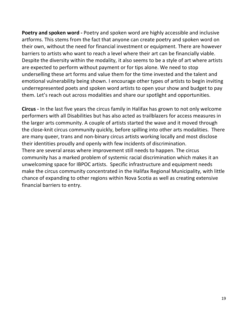**Poetry and spoken word -** Poetry and spoken word are highly accessible and inclusive artforms. This stems from the fact that anyone can create poetry and spoken word on their own, without the need for financial investment or equipment. There are however barriers to artists who want to reach a level where their art can be financially viable. Despite the diversity within the modality, it also seems to be a style of art where artists are expected to perform without payment or for tips alone. We need to stop underselling these art forms and value them for the time invested and the talent and emotional vulnerability being shown. I encourage other types of artists to begin inviting underrepresented poets and spoken word artists to open your show and budget to pay them. Let's reach out across modalities and share our spotlight and opportunities.

**Circus -** In the last five years the circus family in Halifax has grown to not only welcome performers with all Disabilities but has also acted as trailblazers for access measures in the larger arts community. A couple of artists started the wave and it moved through the close-knit circus community quickly, before spilling into other arts modalities. There are many queer, trans and non-binary circus artists working locally and most disclose their identities proudly and openly with few incidents of discrimination. There are several areas where improvement still needs to happen. The circus community has a marked problem of systemic racial discrimination which makes it an unwelcoming space for IBPOC artists. Specific infrastructure and equipment needs make the circus community concentrated in the Halifax Regional Municipality, with little chance of expanding to other regions within Nova Scotia as well as creating extensive financial barriers to entry.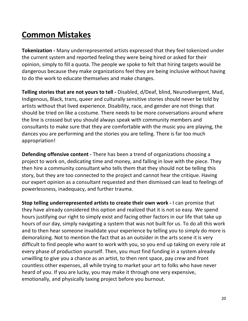### **Common Mistakes**

**Tokenization -** Many underrepresented artists expressed that they feel tokenized under the current system and reported feeling they were being hired or asked for their opinion, simply to fill a quota. The people we spoke to felt that hiring targets would be dangerous because they make organizations feel they are being inclusive without having to do the work to educate themselves and make changes.

**Telling stories that are not yours to tell -** Disabled, d/Deaf, blind, Neurodivergent, Mad, Indigenous, Black, trans, queer and culturally sensitive stories should never be told by artists without that lived experience. Disability, race, and gender are not things that should be tried on like a costume. There needs to be more conversations around where the line is crossed but you should always speak with community members and consultants to make sure that they are comfortable with the music you are playing, the dances you are performing and the stories you are telling. There is far too much appropriation!

**Defending offensive content -** There has been a trend of organizations choosing a project to work on, dedicating time and money, and falling in love with the piece. They then hire a community consultant who tells them that they should not be telling this story, but they are too connected to the project and cannot hear the critique. Having our expert opinion as a consultant requested and then dismissed can lead to feelings of powerlessness, inadequacy, and further trauma.

**Stop telling underrepresented artists to create their own work -** I can promise that they have already considered this option and realized that it is not so easy. We spend hours justifying our right to simply exist and facing other factors in our life that take up hours of our day, simply navigating a system that was not built for us. To do all this work and to then hear someone invalidate your experience by telling you to simply do more is demoralizing. Not to mention the fact that as an outsider in the arts scene it is very difficult to find people who want to work with you, so you end up taking on every role at every phase of production yourself. Then, you must find funding in a system already unwilling to give you a chance as an artist, to then rent space, pay crew and front countless other expenses, all while trying to market your art to folks who have never heard of you. If you are lucky, you may make it through one very expensive, emotionally, and physically taxing project before you burnout.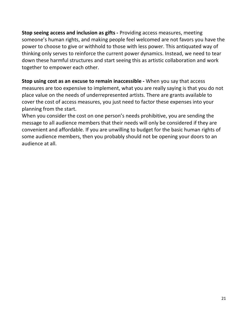**Stop seeing access and inclusion as gifts -** Providing access measures, meeting someone's human rights, and making people feel welcomed are not favors you have the power to choose to give or withhold to those with less power. This antiquated way of thinking only serves to reinforce the current power dynamics. Instead, we need to tear down these harmful structures and start seeing this as artistic collaboration and work together to empower each other.

**Stop using cost as an excuse to remain inaccessible -** When you say that access measures are too expensive to implement, what you are really saying is that you do not place value on the needs of underrepresented artists. There are grants available to cover the cost of access measures, you just need to factor these expenses into your planning from the start.

When you consider the cost on one person's needs prohibitive, you are sending the message to all audience members that their needs will only be considered if they are convenient and affordable. If you are unwilling to budget for the basic human rights of some audience members, then you probably should not be opening your doors to an audience at all.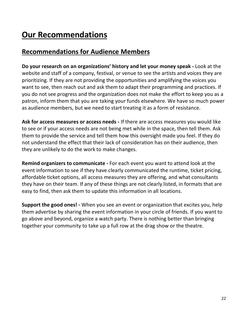# **Our Recommendations**

#### **Recommendations for Audience Members**

**Do your research on an organizations' history and let your money speak -** Look at the website and staff of a company, festival, or venue to see the artists and voices they are prioritizing. If they are not providing the opportunities and amplifying the voices you want to see, then reach out and ask them to adapt their programming and practices. If you do not see progress and the organization does not make the effort to keep you as a patron, inform them that you are taking your funds elsewhere. We have so much power as audience members, but we need to start treating it as a form of resistance.

**Ask for access measures or access needs -** If there are access measures you would like to see or if your access needs are not being met while in the space, then tell them. Ask them to provide the service and tell them how this oversight made you feel. If they do not understand the effect that their lack of consideration has on their audience, then they are unlikely to do the work to make changes.

**Remind organizers to communicate -** For each event you want to attend look at the event information to see if they have clearly communicated the runtime, ticket pricing, affordable ticket options, all access measures they are offering, and what consultants they have on their team. If any of these things are not clearly listed, in formats that are easy to find, then ask them to update this information in all locations.

**Support the good ones! -** When you see an event or organization that excites you, help them advertise by sharing the event information in your circle of friends. If you want to go above and beyond, organize a watch party. There is nothing better than bringing together your community to take up a full row at the drag show or the theatre.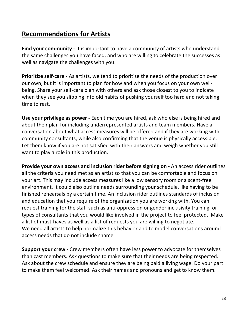#### **Recommendations for Artists**

**Find your community -** It is important to have a community of artists who understand the same challenges you have faced, and who are willing to celebrate the successes as well as navigate the challenges with you.

**Prioritize self-care -** As artists, we tend to prioritize the needs of the production over our own, but it is important to plan for how and when you focus on your own wellbeing. Share your self-care plan with others and ask those closest to you to indicate when they see you slipping into old habits of pushing yourself too hard and not taking time to rest.

**Use your privilege as power -** Each time you are hired, ask who else is being hired and about their plan for including underrepresented artists and team members. Have a conversation about what access measures will be offered and if they are working with community consultants, while also confirming that the venue is physically accessible. Let them know if you are not satisfied with their answers and weigh whether you still want to play a role in this production.

**Provide your own access and inclusion rider before signing on -** An access rider outlines all the criteria you need met as an artist so that you can be comfortable and focus on your art. This may include access measures like a low sensory room or a scent-free environment. It could also outline needs surrounding your schedule, like having to be finished rehearsals by a certain time. An inclusion rider outlines standards of inclusion and education that you require of the organization you are working with. You can request training for the staff such as anti-oppression or gender inclusivity training, or types of consultants that you would like involved in the project to feel protected. Make a list of must-haves as well as a list of requests you are willing to negotiate. We need all artists to help normalize this behavior and to model conversations around access needs that do not include shame.

**Support your crew -** Crew members often have less power to advocate for themselves than cast members. Ask questions to make sure that their needs are being respected. Ask about the crew schedule and ensure they are being paid a living wage. Do your part to make them feel welcomed. Ask their names and pronouns and get to know them.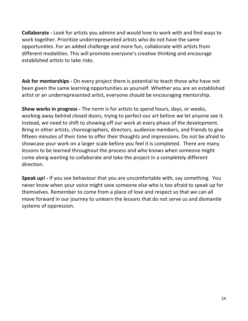**Collaborate -** Look for artists you admire and would love to work with and find ways to work together. Prioritize underrepresented artists who do not have the same opportunities. For an added challenge and more fun, collaborate with artists from different modalities. This will promote everyone's creative thinking and encourage established artists to take risks.

**Ask for mentorships -** On every project there is potential to teach those who have not been given the same learning opportunities as yourself. Whether you are an established artist or an underrepresented artist, everyone should be encouraging mentorship.

**Show works in progress -** The norm is for artists to spend hours, days, or weeks, working away behind closed doors, trying to perfect our art before we let anyone see it. Instead, we need to shift to showing off our work at every phase of the development. Bring in other artists, choreographers, directors, audience members, and friends to give fifteen minutes of their time to offer their thoughts and impressions. Do not be afraid to showcase your work on a larger scale before you feel it is completed. There are many lessons to be learned throughout the process and who knows when someone might come along wanting to collaborate and take the project in a completely different direction.

**Speak up! -** If you see behaviour that you are uncomfortable with, say something. You never know when your voice might save someone else who is too afraid to speak up for themselves. Remember to come from a place of love and respect so that we can all move forward in our journey to unlearn the lessons that do not serve us and dismantle systems of oppression.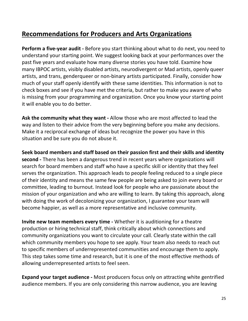#### **Recommendations for Producers and Arts Organizations**

**Perform a five-year audit -** Before you start thinking about what to do next, you need to understand your starting point. We suggest looking back at your performances over the past five years and evaluate how many diverse stories you have told. Examine how many IBPOC artists, visibly disabled artists, neurodivergent or Mad artists, openly queer artists, and trans, genderqueer or non-binary artists participated. Finally, consider how much of your staff openly identify with these same identities. This information is not to check boxes and see if you have met the criteria, but rather to make you aware of who is missing from your programming and organization. Once you know your starting point it will enable you to do better.

**Ask the community what they want -** Allow those who are most affected to lead the way and listen to their advice from the very beginning before you make any decisions. Make it a reciprocal exchange of ideas but recognize the power you have in this situation and be sure you do not abuse it.

**Seek board members and staff based on their passion first and their skills and identity second -** There has been a dangerous trend in recent years where organizations will search for board members and staff who have a specific skill or identity that they feel serves the organization. This approach leads to people feeling reduced to a single piece of their identity and means the same few people are being asked to join every board or committee, leading to burnout. Instead look for people who are passionate about the mission of your organization and who are willing to learn. By taking this approach, along with doing the work of decolonizing your organization, I guarantee your team will become happier, as well as a more representative and inclusive community.

**Invite new team members every time -** Whether it is auditioning for a theatre production or hiring technical staff, think critically about which connections and community organizations you want to circulate your call. Clearly state within the call which community members you hope to see apply. Your team also needs to reach out to specific members of underrepresented communities and encourage them to apply. This step takes some time and research, but it is one of the most effective methods of allowing underrepresented artists to feel seen.

**Expand your target audience -** Most producers focus only on attracting white gentrified audience members. If you are only considering this narrow audience, you are leaving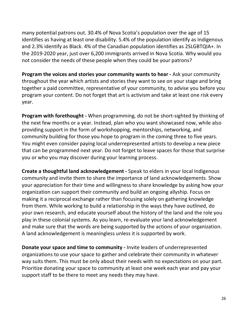many potential patrons out. 30.4% of Nova Scotia's population over the age of 15 identifies as having at least one disability. 5.4% of the population identify as Indigenous and 2.3% identify as Black. 4% of the Canadian population identifies as 2SLGBTQIA+. In the 2019-2020 year, just over 6,200 immigrants arrived in Nova Scotia. Why would you not consider the needs of these people when they could be your patrons?

**Program the voices and stories your community wants to hear -** Ask your community throughout the year which artists and stories they want to see on your stage and bring together a paid committee, representative of your community, to advise you before you program your content. Do not forget that art is activism and take at least one risk every year.

**Program with forethought -** When programming, do not be short-sighted by thinking of the next few months or a year. Instead, plan who you want showcased now, while also providing support in the form of workshopping, mentorships, networking, and community building for those you hope to program in the coming three to five years. You might even consider paying local underrepresented artists to develop a new piece that can be programmed next year. Do not forget to leave spaces for those that surprise you or who you may discover during your learning process.

**Create a thoughtful land acknowledgement -** Speak to elders in your local Indigenous community and invite them to share the importance of land acknowledgements. Show your appreciation for their time and willingness to share knowledge by asking how your organization can support their community and build an ongoing allyship. Focus on making it a reciprocal exchange rather than focusing solely on gathering knowledge from them. While working to build a relationship in the ways they have outlined, do your own research, and educate yourself about the history of the land and the role you play in these colonial systems. As you learn, re-evaluate your land acknowledgement and make sure that the words are being supported by the actions of your organization. A land acknowledgement is meaningless unless it is supported by work.

**Donate your space and time to community -** Invite leaders of underrepresented organizations to use your space to gather and celebrate their community in whatever way suits them. This must be only about their needs with no expectations on your part. Prioritize donating your space to community at least one week each year and pay your support staff to be there to meet any needs they may have.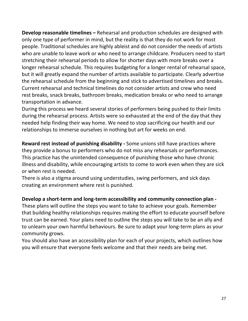**Develop reasonable timelines –** Rehearsal and production schedules are designed with only one type of performer in mind, but the reality is that they do not work for most people. Traditional schedules are highly ableist and do not consider the needs of artists who are unable to leave work or who need to arrange childcare. Producers need to start stretching their rehearsal periods to allow for shorter days with more breaks over a longer rehearsal schedule. This requires budgeting for a longer rental of rehearsal space, but it will greatly expand the number of artists available to participate. Clearly advertise the rehearsal schedule from the beginning and stick to advertised timelines and breaks. Current rehearsal and technical timelines do not consider artists and crew who need rest breaks, snack breaks, bathroom breaks, medication breaks or who need to arrange transportation in advance.

During this process we heard several stories of performers being pushed to their limits during the rehearsal process. Artists were so exhausted at the end of the day that they needed help finding their way home. We need to stop sacrificing our health and our relationships to immerse ourselves in nothing but art for weeks on end.

**Reward rest instead of punishing disability -** Some unions still have practices where they provide a bonus to performers who do not miss any rehearsals or performances. This practice has the unintended consequence of punishing those who have chronic illness and disability, while encouraging artists to come to work even when they are sick or when rest is needed.

There is also a stigma around using understudies, swing performers, and sick days creating an environment where rest is punished.

#### **Develop a short-term and long-term accessibility and community connection plan -**

These plans will outline the steps you want to take to achieve your goals. Remember that building healthy relationships requires making the effort to educate yourself before trust can be earned. Your plans need to outline the steps you will take to be an ally and to unlearn your own harmful behaviours. Be sure to adapt your long-term plans as your community grows.

You should also have an accessibility plan for each of your projects, which outlines how you will ensure that everyone feels welcome and that their needs are being met.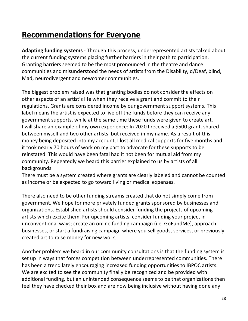### **Recommendations for Everyone**

**Adapting funding systems** - Through this process, underrepresented artists talked about the current funding systems placing further barriers in their path to participation. Granting barriers seemed to be the most pronounced in the theatre and dance communities and misunderstood the needs of artists from the Disability, d/Deaf, blind, Mad, neurodivergent and newcomer communities.

The biggest problem raised was that granting bodies do not consider the effects on other aspects of an artist's life when they receive a grant and commit to their regulations. Grants are considered income by our government support systems. This label means the artist is expected to live off the funds before they can receive any government supports, while at the same time these funds were given to create art. I will share an example of my own experience: In 2020 I received a \$500 grant, shared between myself and two other artists, but received in my name. As a result of this money being deposited into my account, I lost all medical supports for five months and it took nearly 70 hours of work on my part to advocate for these supports to be reinstated. This would have been fatal had it not been for mutual aid from my community. Repeatedly we heard this barrier explained to us by artists of all backgrounds.

There must be a system created where grants are clearly labeled and cannot be counted as income or be expected to go toward living or medical expenses.

There also need to be other funding streams created that do not simply come from government. We hope for more privately funded grants sponsored by businesses and organizations. Established artists should consider funding the projects of upcoming artists which excite them. For upcoming artists, consider funding your project in unconventional ways; create an online funding campaign (i.e. GoFundMe), approach businesses, or start a fundraising campaign where you sell goods, services, or previously created art to raise money for new work.

Another problem we heard in our community consultations is that the funding system is set up in ways that forces competition between underrepresented communities. There has been a trend lately encouraging increased funding opportunities to IBPOC artists. We are excited to see the community finally be recognized and be provided with additional funding, but an unintended consequence seems to be that organizations then feel they have checked their box and are now being inclusive without having done any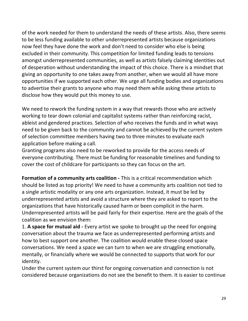of the work needed for them to understand the needs of these artists. Also, there seems to be less funding available to other underrepresented artists because organizations now feel they have done the work and don't need to consider who else is being excluded in their community. This competition for limited funding leads to tensions amongst underrepresented communities, as well as artists falsely claiming identities out of desperation without understanding the impact of this choice. There is a mindset that giving an opportunity to one takes away from another, when we would all have more opportunities if we supported each other. We urge all funding bodies and organizations to advertise their grants to anyone who may need them while asking these artists to disclose how they would put this money to use.

We need to rework the funding system in a way that rewards those who are actively working to tear down colonial and capitalist systems rather than reinforcing racist, ableist and gendered practices. Selection of who receives the funds and in what ways need to be given back to the community and cannot be achieved by the current system of selection committee members having two to three minutes to evaluate each application before making a call.

Granting programs also need to be reworked to provide for the access needs of everyone contributing. There must be funding for reasonable timelines and funding to cover the cost of childcare for participants so they can focus on the art.

**Formation of a community arts coalition -** This is a critical recommendation which should be listed as top priority! We need to have a community arts coalition not tied to a single artistic modality or any one arts organization. Instead, it must be led by underrepresented artists and avoid a structure where they are asked to report to the organizations that have historically caused harm or been complicit in the harm. Underrepresented artists will be paid fairly for their expertise. Here are the goals of the coalition as we envision them:

1. **A space for mutual aid -** Every artist we spoke to brought up the need for ongoing conversation about the trauma we face as underrepresented performing artists and how to best support one another. The coalition would enable these closed space conversations. We need a space we can turn to when we are struggling emotionally, mentally, or financially where we would be connected to supports that work for our identity.

Under the current system our thirst for ongoing conversation and connection is not considered because organizations do not see the benefit to them. It is easier to continue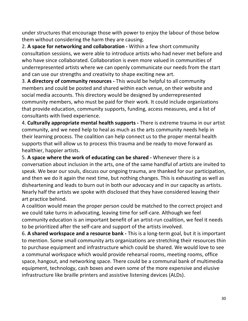under structures that encourage those with power to enjoy the labour of those below them without considering the harm they are causing.

2. **A space for networking and collaboration -** Within a few short community consultation sessions, we were able to introduce artists who had never met before and who have since collaborated. Collaboration is even more valued in communities of underrepresented artists where we can openly communicate our needs from the start and can use our strengths and creativity to shape exciting new art.

3. **A directory of community resources -** This would be helpful to all community members and could be posted and shared within each venue, on their website and social media accounts. This directory would be designed by underrepresented community members, who must be paid for their work. It could include organizations that provide education, community supports, funding, access measures, and a list of consultants with lived experience.

4. **Culturally appropriate mental health supports -** There is extreme trauma in our artist community, and we need help to heal as much as the arts community needs help in their learning process. The coalition can help connect us to the proper mental health supports that will allow us to process this trauma and be ready to move forward as healthier, happier artists.

5. **A space where the work of educating can be shared -** Whenever there is a conversation about inclusion in the arts, one of the same handful of artists are invited to speak. We bear our souls, discuss our ongoing trauma, are thanked for our participation, and then we do it again the next time, but nothing changes. This is exhausting as well as disheartening and leads to burn out in both our advocacy and in our capacity as artists. Nearly half the artists we spoke with disclosed that they have considered leaving their art practice behind.

A coalition would mean the proper person could be matched to the correct project and we could take turns in advocating, leaving time for self-care. Although we feel community education is an important benefit of an artist-run coalition, we feel it needs to be prioritized after the self-care and support of the artists involved.

6. **A shared workspace and a resource bank -** This is a long-term goal, but it is important to mention. Some small community arts organizations are stretching their resources thin to purchase equipment and infrastructure which could be shared. We would love to see a communal workspace which would provide rehearsal rooms, meeting rooms, office space, hangout, and networking space. There could be a communal bank of multimedia equipment, technology, cash boxes and even some of the more expensive and elusive infrastructure like braille printers and assistive listening devices (ALDs).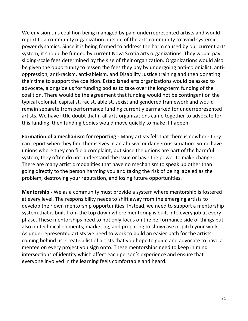We envision this coalition being managed by paid underrepresented artists and would report to a community organization outside of the arts community to avoid systemic power dynamics. Since it is being formed to address the harm caused by our current arts system, it should be funded by current Nova Scotia arts organizations. They would pay sliding-scale fees determined by the size of their organization. Organizations would also be given the opportunity to lessen the fees they pay by undergoing anti-colonialist, antioppression, anti-racism, anti-ableism, and Disability Justice training and then donating their time to support the coalition. Established arts organizations would be asked to advocate, alongside us for funding bodies to take over the long-term funding of the coalition. There would be the agreement that funding would not be contingent on the typical colonial, capitalist, racist, ableist, sexist and gendered framework and would remain separate from performance funding currently earmarked for underrepresented artists. We have little doubt that if all arts organizations came together to advocate for this funding, then funding bodies would move quickly to make it happen.

**Formation of a mechanism for reporting -** Many artists felt that there is nowhere they can report when they find themselves in an abusive or dangerous situation. Some have unions where they can file a complaint, but since the unions are part of the harmful system, they often do not understand the issue or have the power to make change. There are many artistic modalities that have no mechanism to speak up other than going directly to the person harming you and taking the risk of being labeled as the problem, destroying your reputation, and losing future opportunities.

**Mentorship -** We as a community must provide a system where mentorship is fostered at every level. The responsibility needs to shift away from the emerging artists to develop their own mentorship opportunities. Instead, we need to support a mentorship system that is built from the top down where mentoring is built into every job at every phase. These mentorships need to not only focus on the performance side of things but also on technical elements, marketing, and preparing to showcase or pitch your work. As underrepresented artists we need to work to build an easier path for the artists coming behind us. Create a list of artists that you hope to guide and advocate to have a mentee on every project you sign onto. These mentorships need to keep in mind intersections of identity which affect each person's experience and ensure that everyone involved in the learning feels comfortable and heard.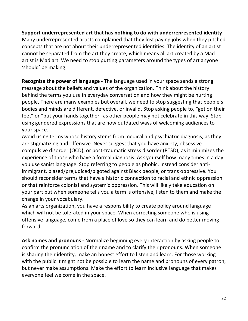**Support underrepresented art that has nothing to do with underrepresented identity -** Many underrepresented artists complained that they lost paying jobs when they pitched concepts that are not about their underrepresented identities. The identity of an artist cannot be separated from the art they create, which means all art created by a Mad artist is Mad art. We need to stop putting parameters around the types of art anyone 'should' be making.

**Recognize the power of language -** The language used in your space sends a strong message about the beliefs and values of the organization. Think about the history behind the terms you use in everyday conversation and how they might be hurting people. There are many examples but overall, we need to stop suggesting that people's bodies and minds are different, defective, or invalid. Stop asking people to, "get on their feet" or "put your hands together" as other people may not celebrate in this way. Stop using gendered expressions that are now outdated ways of welcoming audiences to your space.

Avoid using terms whose history stems from medical and psychiatric diagnosis, as they are stigmatizing and offensive. Never suggest that you have anxiety, obsessive compulsive disorder (OCD), or post-traumatic stress disorder (PTSD), as it minimizes the experience of those who have a formal diagnosis. Ask yourself how many times in a day you use sanist language. Stop referring to people as phobic. Instead consider antiimmigrant, biased/prejudiced/bigoted against Black people, or trans oppressive. You should reconsider terms that have a historic connection to racial and ethnic oppression or that reinforce colonial and systemic oppression. This will likely take education on your part but when someone tells you a term is offensive, listen to them and make the change in your vocabulary.

As an arts organization, you have a responsibility to create policy around language which will not be tolerated in your space. When correcting someone who is using offensive language, come from a place of love so they can learn and do better moving forward.

**Ask names and pronouns -** Normalize beginning every interaction by asking people to confirm the pronunciation of their name and to clarify their pronouns. When someone is sharing their identity, make an honest effort to listen and learn. For those working with the public it might not be possible to learn the name and pronouns of every patron, but never make assumptions. Make the effort to learn inclusive language that makes everyone feel welcome in the space.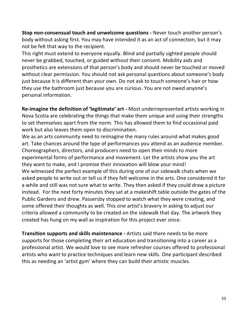**Stop non-consensual touch and unwelcome questions -** Never touch another person's body without asking first. You may have intended it as an act of connection, but it may not be felt that way to the recipient.

This right must extend to everyone equally. Blind and partially sighted people should never be grabbed, touched, or guided without their consent. Mobility aids and prosthetics are extensions of that person's body and should never be touched or moved without clear permission. You should not ask personal questions about someone's body just because it is different than your own. Do not ask to touch someone's hair or how they use the bathroom just because you are curious. You are not owed anyone's personal information.

**Re-imagine the definition of 'legitimate' art -** Most underrepresented artists working in Nova Scotia are celebrating the things that make them unique and using their strengths to set themselves apart from the norm. This has allowed them to find occasional paid work but also leaves them open to discrimination.

We as an arts community need to reimagine the many rules around what makes good art. Take chances around the type of performances you attend as an audience member. Choreographers, directors, and producers need to open their minds to more experimental forms of performance and movement. Let the artists show you the art they want to make, and I promise their innovation will blow your mind! We witnessed the perfect example of this during one of our sidewalk chats when we asked people to write out or tell us if they felt welcome in the arts. One considered it for a while and still was not sure what to write. They then asked if they could draw a picture instead. For the next forty minutes they sat at a makeshift table outside the gates of the Public Gardens and drew. Passersby stopped to watch what they were creating, and some offered their thoughts as well. This one artist's bravery in asking to adjust our criteria allowed a community to be created on the sidewalk that day. The artwork they created has hung on my wall as inspiration for this project ever since.

**Transition supports and skills maintenance -** Artists said there needs to be more supports for those completing their art education and transitioning into a career as a professional artist. We would love to see more refresher courses offered to professional artists who want to practice techniques and learn new skills. One participant described this as needing an 'artist gym' where they can build their artistic muscles.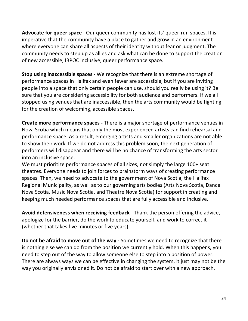**Advocate for queer space -** Our queer community has lost its' queer-run spaces. It is imperative that the community have a place to gather and grow in an environment where everyone can share all aspects of their identity without fear or judgment. The community needs to step up as allies and ask what can be done to support the creation of new accessible, IBPOC inclusive, queer performance space.

**Stop using inaccessible spaces -** We recognize that there is an extreme shortage of performance spaces in Halifax and even fewer are accessible, but if you are inviting people into a space that only certain people can use, should you really be using it? Be sure that you are considering accessibility for both audience and performers. If we all stopped using venues that are inaccessible, then the arts community would be fighting for the creation of welcoming, accessible spaces.

**Create more performance spaces -** There is a major shortage of performance venues in Nova Scotia which means that only the most experienced artists can find rehearsal and performance space. As a result, emerging artists and smaller organizations are not able to show their work. If we do not address this problem soon, the next generation of performers will disappear and there will be no chance of transforming the arts sector into an inclusive space.

We must prioritize performance spaces of all sizes, not simply the large 100+ seat theatres. Everyone needs to join forces to brainstorm ways of creating performance spaces. Then, we need to advocate to the government of Nova Scotia, the Halifax Regional Municipality, as well as to our governing arts bodies (Arts Nova Scotia, Dance Nova Scotia, Music Nova Scotia, and Theatre Nova Scotia) for support in creating and keeping much needed performance spaces that are fully accessible and inclusive.

**Avoid defensiveness when receiving feedback -** Thank the person offering the advice, apologize for the barrier, do the work to educate yourself, and work to correct it (whether that takes five minutes or five years).

**Do not be afraid to move out of the way -** Sometimes we need to recognize that there is nothing else we can do from the position we currently hold. When this happens, you need to step out of the way to allow someone else to step into a position of power. There are always ways we can be effective in changing the system, it just may not be the way you originally envisioned it. Do not be afraid to start over with a new approach.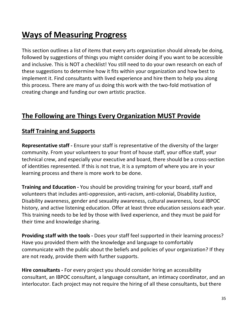### **Ways of Measuring Progress**

This section outlines a list of items that every arts organization should already be doing, followed by suggestions of things you might consider doing if you want to be accessible and inclusive. This is NOT a checklist! You still need to do your own research on each of these suggestions to determine how it fits within your organization and how best to implement it. Find consultants with lived experience and hire them to help you along this process. There are many of us doing this work with the two-fold motivation of creating change and funding our own artistic practice.

#### **The Following are Things Every Organization MUST Provide**

#### **Staff Training and Supports**

**Representative staff -** Ensure your staff is representative of the diversity of the larger community. From your volunteers to your front of house staff, your office staff, your technical crew, and especially your executive and board, there should be a cross-section of identities represented. If this is not true, it is a symptom of where you are in your learning process and there is more work to be done.

**Training and Education -** You should be providing training for your board, staff and volunteers that includes anti-oppression, anti-racism, anti-colonial, Disability Justice, Disability awareness, gender and sexuality awareness, cultural awareness, local IBPOC history, and active listening education. Offer at least three education sessions each year. This training needs to be led by those with lived experience, and they must be paid for their time and knowledge sharing.

**Providing staff with the tools -** Does your staff feel supported in their learning process? Have you provided them with the knowledge and language to comfortably communicate with the public about the beliefs and policies of your organization? If they are not ready, provide them with further supports.

**Hire consultants -** For every project you should consider hiring an accessibility consultant, an IBPOC consultant, a language consultant, an intimacy coordinator, and an interlocutor. Each project may not require the hiring of all these consultants, but there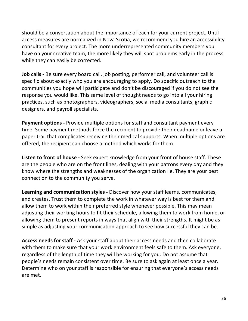should be a conversation about the importance of each for your current project. Until access measures are normalized in Nova Scotia, we recommend you hire an accessibility consultant for every project. The more underrepresented community members you have on your creative team, the more likely they will spot problems early in the process while they can easily be corrected.

**Job calls -** Be sure every board call, job posting, performer call, and volunteer call is specific about exactly who you are encouraging to apply. Do specific outreach to the communities you hope will participate and don't be discouraged if you do not see the response you would like. This same level of thought needs to go into all your hiring practices, such as photographers, videographers, social media consultants, graphic designers, and payroll specialists.

**Payment options -** Provide multiple options for staff and consultant payment every time. Some payment methods force the recipient to provide their deadname or leave a paper trail that complicates receiving their medical supports. When multiple options are offered, the recipient can choose a method which works for them.

**Listen to front of house -** Seek expert knowledge from your front of house staff. These are the people who are on the front lines, dealing with your patrons every day and they know where the strengths and weaknesses of the organization lie. They are your best connection to the community you serve.

**Learning and communication styles -** Discover how your staff learns, communicates, and creates. Trust them to complete the work in whatever way is best for them and allow them to work within their preferred style whenever possible. This may mean adjusting their working hours to fit their schedule, allowing them to work from home, or allowing them to present reports in ways that align with their strengths. It might be as simple as adjusting your communication approach to see how successful they can be.

**Access needs for staff -** Ask your staff about their access needs and then collaborate with them to make sure that your work environment feels safe to them. Ask everyone, regardless of the length of time they will be working for you. Do not assume that people's needs remain consistent over time. Be sure to ask again at least once a year. Determine who on your staff is responsible for ensuring that everyone's access needs are met.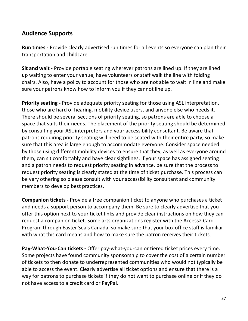## **Audience Supports**

**Run times -** Provide clearly advertised run times for all events so everyone can plan their transportation and childcare.

**Sit and wait -** Provide portable seating wherever patrons are lined up. If they are lined up waiting to enter your venue, have volunteers or staff walk the line with folding chairs. Also, have a policy to account for those who are not able to wait in line and make sure your patrons know how to inform you if they cannot line up.

**Priority seating -** Provide adequate priority seating for those using ASL interpretation, those who are hard of hearing, mobility device users, and anyone else who needs it. There should be several sections of priority seating, so patrons are able to choose a space that suits their needs. The placement of the priority seating should be determined by consulting your ASL interpreters and your accessibility consultant. Be aware that patrons requiring priority seating will need to be seated with their entire party, so make sure that this area is large enough to accommodate everyone. Consider space needed by those using different mobility devices to ensure that they, as well as everyone around them, can sit comfortably and have clear sightlines. If your space has assigned seating and a patron needs to request priority seating in advance, be sure that the process to request priority seating is clearly stated at the time of ticket purchase. This process can be very othering so please consult with your accessibility consultant and community members to develop best practices.

**Companion tickets -** Provide a free companion ticket to anyone who purchases a ticket and needs a support person to accompany them. Be sure to clearly advertise that you offer this option next to your ticket links and provide clear instructions on how they can request a companion ticket. Some arts organizations register with the Access2 Card Program through Easter Seals Canada, so make sure that your box office staff is familiar with what this card means and how to make sure the patron receives their tickets.

**Pay-What-You-Can tickets -** Offer pay-what-you-can or tiered ticket prices every time. Some projects have found community sponsorship to cover the cost of a certain number of tickets to then donate to underrepresented communities who would not typically be able to access the event. Clearly advertise all ticket options and ensure that there is a way for patrons to purchase tickets if they do not want to purchase online or if they do not have access to a credit card or PayPal.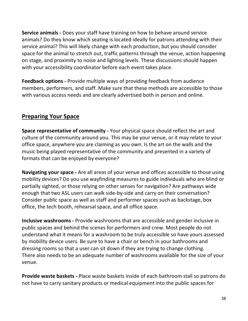**Service animals -** Does your staff have training on how to behave around service animals? Do they know which seating is located ideally for patrons attending with their service animal? This will likely change with each production, but you should consider space for the animal to stretch out, traffic patterns through the venue, action happening on stage, and proximity to noise and lighting levels. These discussions should happen with your accessibility coordinator before each event takes place.

**Feedback options -** Provide multiple ways of providing feedback from audience members, performers, and staff. Make sure that these methods are accessible to those with various access needs and are clearly advertised both in person and online.

## **Preparing Your Space**

**Space representative of community -** Your physical space should reflect the art and culture of the community around you. This may be your venue, or it may relate to your office space, anywhere you are claiming as you own. Is the art on the walls and the music being played representative of the community and presented in a variety of formats that can be enjoyed by everyone?

**Navigating your space -** Are all areas of your venue and offices accessible to those using mobility devices? Do you use wayfinding measures to guide individuals who are blind or partially sighted, or those relying on other senses for navigation? Are pathways wide enough that two ASL users can walk side-by-side and carry on their conversation? Consider public space as well as staff and performer spaces such as backstage, box office, the tech booth, rehearsal space, and all office space.

**Inclusive washrooms -** Provide washrooms that are accessible and gender inclusive in public spaces and behind the scenes for performers and crew. Most people do not understand what it means for a washroom to be truly accessible so have yours assessed by mobility device users. Be sure to have a chair or bench in your bathrooms and dressing rooms so that a user can sit down if they are trying to change clothing. There also needs to be an adequate number of washrooms available for the size of your venue.

**Provide waste baskets -** Place waste baskets inside of each bathroom stall so patrons do not have to carry sanitary products or medical equipment into the public spaces for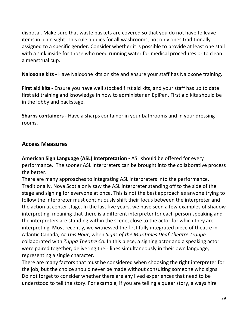disposal. Make sure that waste baskets are covered so that you do not have to leave items in plain sight. This rule applies for all washrooms, not only ones traditionally assigned to a specific gender. Consider whether it is possible to provide at least one stall with a sink inside for those who need running water for medical procedures or to clean a menstrual cup.

**Naloxone kits -** Have Naloxone kits on site and ensure your staff has Naloxone training.

**First aid kits -** Ensure you have well stocked first aid kits, and your staff has up to date first aid training and knowledge in how to administer an EpiPen. First aid kits should be in the lobby and backstage.

**Sharps containers -** Have a sharps container in your bathrooms and in your dressing rooms.

## **Access Measures**

**American Sign Language (ASL) Interpretation -** ASL should be offered for every performance. The sooner ASL Interpreters can be brought into the collaborative process the better.

There are many approaches to integrating ASL interpreters into the performance. Traditionally, Nova Scotia only saw the ASL interpreter standing off to the side of the stage and signing for everyone at once. This is not the best approach as anyone trying to follow the interpreter must continuously shift their focus between the interpreter and the action at center stage. In the last five years, we have seen a few examples of shadow interpreting, meaning that there is a different interpreter for each person speaking and the interpreters are standing within the scene, close to the actor for which they are interpreting. Most recently, we witnessed the first fully integrated piece of theatre in Atlantic Canada, *At This Hour*, when *Signs of the Maritimes Deaf Theatre Troupe* collaborated with *Zuppa Theatre Co.* In this piece, a signing actor and a speaking actor were paired together, delivering their lines simultaneously in their own language, representing a single character.

There are many factors that must be considered when choosing the right interpreter for the job, but the choice should never be made without consulting someone who signs. Do not forget to consider whether there are any lived experiences that need to be understood to tell the story. For example, if you are telling a queer story, always hire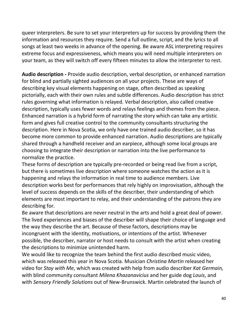queer interpreters. Be sure to set your interpreters up for success by providing them the information and resources they require. Send a full outline, script, and the lyrics to all songs at least two weeks in advance of the opening. Be aware ASL interpreting requires extreme focus and expressiveness, which means you will need multiple interpreters on your team, as they will switch off every fifteen minutes to allow the interpreter to rest.

**Audio description -** Provide audio description, verbal description, or enhanced narration for blind and partially sighted audiences on all your projects. These are ways of describing key visual elements happening on stage, often described as speaking pictorially, each with their own rules and subtle differences. Audio description has strict rules governing what information is relayed. Verbal description, also called creative description, typically uses fewer words and relays feelings and themes from the piece. Enhanced narration is a hybrid form of narrating the story which can take any artistic form and gives full creative control to the community consultants structuring the description. Here in Nova Scotia, we only have one trained audio describer, so it has become more common to provide enhanced narration. Audio descriptions are typically shared through a handheld receiver and an earpiece, although some local groups are choosing to integrate their description or narration into the live performance to normalize the practice.

These forms of description are typically pre-recorded or being read live from a script, but there is sometimes live description where someone watches the action as it is happening and relays the information in real time to audience members. Live description works best for performances that rely highly on improvisation, although the level of success depends on the skills of the describer, their understanding of which elements are most important to relay, and their understanding of the patrons they are describing for.

Be aware that descriptions are never neutral in the arts and hold a great deal of power. The lived experiences and biases of the describer will shape their choice of language and the way they describe the art. Because of these factors, descriptions may be incongruent with the identity, motivations, or intentions of the artist. Whenever possible, the describer, narrator or host needs to consult with the artist when creating the descriptions to minimize unintended harm.

We would like to recognize the team behind the first audio described music video, which was released this year in Nova Scotia. Musician *Christina Martin* released her video for *Stay with Me*, which was created with help from audio describer *Kat Germain,*  with blind community consultant *Milena Khazanavicius* and her guide dog *Louis*, and with *Sensory Friendly Solutions* out of New-Brunswick. Martin celebrated the launch of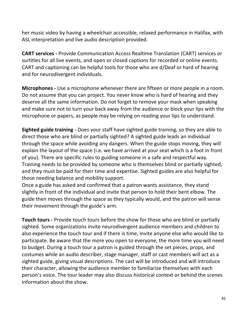her music video by having a wheelchair accessible, relaxed performance in Halifax, with ASL interpretation and live audio description provided.

**CART services -** Provide Communication Access Realtime Translation (CART) services or surtitles for all live events, and open or closed captions for recorded or online events. CART and captioning can be helpful tools for those who are d/Deaf or hard of hearing and for neurodivergent individuals.

**Microphones -** Use a microphone whenever there are fifteen or more people in a room. Do not assume that you can project. You never know who is hard of hearing and they deserve all the same information. Do not forget to remove your mask when speaking and make sure not to turn your back away from the audience or block your lips with the microphone or papers, as people may be relying on reading your lips to understand.

**Sighted guide training -** Does your staff have sighted guide training, so they are able to direct those who are blind or partially sighted? A sighted guide leads an individual through the space while avoiding any dangers. When the guide stops moving, they will explain the layout of the space (i.e. we have arrived at your seat which is a foot in front of you). There are specific rules to guiding someone in a safe and respectful way. Training needs to be provided by someone who is themselves blind or partially sighted, and they must be paid for their time and expertise. Sighted guides are also helpful for those needing balance and mobility support.

Once a guide has asked and confirmed that a patron wants assistance, they stand slightly in front of the individual and invite that person to hold their bent elbow. The guide then moves through the space as they typically would, and the patron will sense their movement through the guide's arm.

**Touch tours -** Provide touch tours before the show for those who are blind or partially sighted. Some organizations invite neurodivergent audience members and children to also experience the touch tour and if there is time, invite anyone else who would like to participate. Be aware that the more you open to everyone, the more time you will need to budget. During a touch tour a patron is guided through the set pieces, props, and costumes while an audio describer, stage manager, staff or cast members will act as a sighted guide, giving visual descriptions. The cast will be introduced and will introduce their character, allowing the audience member to familiarize themselves with each person's voice. The tour leader may also discuss historical context or behind the scenes information about the show.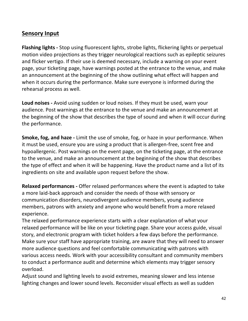## **Sensory Input**

**Flashing lights -** Stop using fluorescent lights, strobe lights, flickering lights or perpetual motion video projections as they trigger neurological reactions such as epileptic seizures and flicker vertigo. If their use is deemed necessary, include a warning on your event page, your ticketing page, have warnings posted at the entrance to the venue, and make an announcement at the beginning of the show outlining what effect will happen and when it occurs during the performance. Make sure everyone is informed during the rehearsal process as well.

**Loud noises -** Avoid using sudden or loud noises. If they must be used, warn your audience. Post warnings at the entrance to the venue and make an announcement at the beginning of the show that describes the type of sound and when it will occur during the performance.

**Smoke, fog, and haze -** Limit the use of smoke, fog, or haze in your performance. When it must be used, ensure you are using a product that is allergen-free, scent free and hypoallergenic. Post warnings on the event page, on the ticketing page, at the entrance to the venue, and make an announcement at the beginning of the show that describes the type of effect and when it will be happening. Have the product name and a list of its ingredients on site and available upon request before the show.

**Relaxed performances -** Offer relaxed performances where the event is adapted to take a more laid-back approach and consider the needs of those with sensory or communication disorders, neurodivergent audience members, young audience members, patrons with anxiety and anyone who would benefit from a more relaxed experience.

The relaxed performance experience starts with a clear explanation of what your relaxed performance will be like on your ticketing page. Share your access guide, visual story, and electronic program with ticket holders a few days before the performance. Make sure your staff have appropriate training, are aware that they will need to answer more audience questions and feel comfortable communicating with patrons with various access needs. Work with your accessibility consultant and community members to conduct a performance audit and determine which elements may trigger sensory overload.

Adjust sound and lighting levels to avoid extremes, meaning slower and less intense lighting changes and lower sound levels. Reconsider visual effects as well as sudden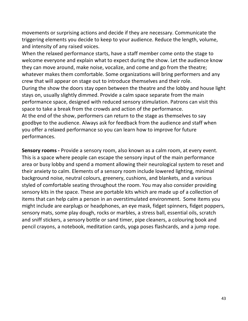movements or surprising actions and decide if they are necessary. Communicate the triggering elements you decide to keep to your audience. Reduce the length, volume, and intensity of any raised voices.

When the relaxed performance starts, have a staff member come onto the stage to welcome everyone and explain what to expect during the show. Let the audience know they can move around, make noise, vocalize, and come and go from the theatre; whatever makes them comfortable. Some organizations will bring performers and any crew that will appear on stage out to introduce themselves and their role. During the show the doors stay open between the theatre and the lobby and house light stays on, usually slightly dimmed. Provide a calm space separate from the main performance space, designed with reduced sensory stimulation. Patrons can visit this space to take a break from the crowds and action of the performance. At the end of the show, performers can return to the stage as themselves to say goodbye to the audience. Always ask for feedback from the audience and staff when you offer a relaxed performance so you can learn how to improve for future performances.

**Sensory rooms -** Provide a sensory room, also known as a calm room, at every event. This is a space where people can escape the sensory input of the main performance area or busy lobby and spend a moment allowing their neurological system to reset and their anxiety to calm. Elements of a sensory room include lowered lighting, minimal background noise, neutral colours, greenery, cushions, and blankets, and a various styled of comfortable seating throughout the room. You may also consider providing sensory kits in the space. These are portable kits which are made up of a collection of items that can help calm a person in an overstimulated environment. Some items you might include are earplugs or headphones, an eye mask, fidget spinners, fidget poppers, sensory mats, some play dough, rocks or marbles, a stress ball, essential oils, scratch and sniff stickers, a sensory bottle or sand timer, pipe cleaners, a colouring book and pencil crayons, a notebook, meditation cards, yoga poses flashcards, and a jump rope.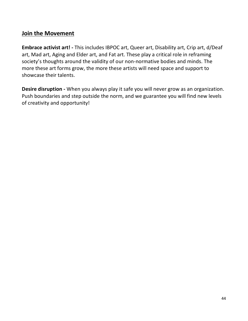### **Join the Movement**

**Embrace activist art! -** This includes IBPOC art, Queer art, Disability art, Crip art, d/Deaf art, Mad art, Aging and Elder art, and Fat art. These play a critical role in reframing society's thoughts around the validity of our non-normative bodies and minds. The more these art forms grow, the more these artists will need space and support to showcase their talents.

**Desire disruption -** When you always play it safe you will never grow as an organization. Push boundaries and step outside the norm, and we guarantee you will find new levels of creativity and opportunity!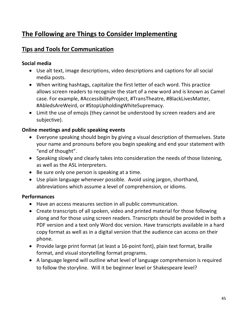## **The Following are Things to Consider Implementing**

## **Tips and Tools for Communication**

#### **Social media**

- Use alt text, image descriptions, video descriptions and captions for all social media posts.
- When writing hashtags, capitalize the first letter of each word. This practice allows screen readers to recognize the start of a new word and is known as Camel case. For example, #AccessibilityProject, #TransTheatre, #BlackLivesMatter, #AbledsAreWeird, or #StopUpholdingWhiteSupremacy.
- Limit the use of emojis (they cannot be understood by screen readers and are subjective).

#### **Online meetings and public speaking events**

- Everyone speaking should begin by giving a visual description of themselves. State your name and pronouns before you begin speaking and end your statement with "end of thought".
- Speaking slowly and clearly takes into consideration the needs of those listening, as well as the ASL interpreters.
- Be sure only one person is speaking at a time.
- Use plain language whenever possible. Avoid using jargon, shorthand, abbreviations which assume a level of comprehension, or idioms.

#### **Performances**

- Have an access measures section in all public communication.
- Create transcripts of all spoken, video and printed material for those following along and for those using screen readers. Transcripts should be provided in both a PDF version and a text only Word doc version. Have transcripts available in a hard copy format as well as in a digital version that the audience can access on their phone.
- Provide large print format (at least a 16-point font), plain text format, braille format, and visual storytelling format programs.
- A language legend will outline what level of language comprehension is required to follow the storyline. Will it be beginner level or Shakespeare level?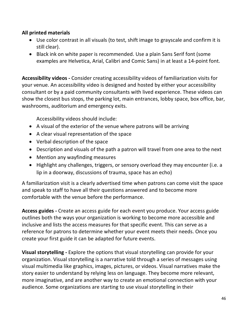#### **All printed materials**

- Use color contrast in all visuals (to test, shift image to grayscale and confirm it is still clear).
- Black ink on white paper is recommended. Use a plain Sans Serif font (some examples are Helvetica, Arial, Calibri and Comic Sans) in at least a 14-point font.

**Accessibility videos -** Consider creating accessibility videos of familiarization visits for your venue. An accessibility video is designed and hosted by either your accessibility consultant or by a paid community consultants with lived experience. These videos can show the closest bus stops, the parking lot, main entrances, lobby space, box office, bar, washrooms, auditorium and emergency exits.

Accessibility videos should include:

- A visual of the exterior of the venue where patrons will be arriving
- A clear visual representation of the space
- Verbal description of the space
- Description and visuals of the path a patron will travel from one area to the next
- Mention any wayfinding measures
- Highlight any challenges, triggers, or sensory overload they may encounter (i.e. a lip in a doorway, discussions of trauma, space has an echo)

A familiarization visit is a clearly advertised time when patrons can come visit the space and speak to staff to have all their questions answered and to become more comfortable with the venue before the performance.

**Access guides -** Create an access guide for each event you produce. Your access guide outlines both the ways your organization is working to become more accessible and inclusive and lists the access measures for that specific event. This can serve as a reference for patrons to determine whether your event meets their needs. Once you create your first guide it can be adapted for future events.

**Visual storytelling -** Explore the options that visual storytelling can provide for your organization. Visual storytelling is a narrative told through a series of messages using visual multimedia like graphics, images, pictures, or videos. Visual narratives make the story easier to understand by relying less on language. They become more relevant, more imaginative, and are another way to create an emotional connection with your audience. Some organizations are starting to use visual storytelling in their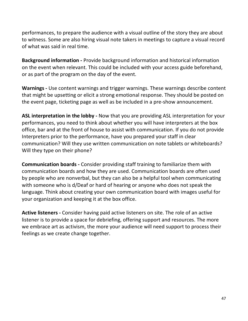performances, to prepare the audience with a visual outline of the story they are about to witness. Some are also hiring visual note takers in meetings to capture a visual record of what was said in real time.

**Background information -** Provide background information and historical information on the event when relevant. This could be included with your access guide beforehand, or as part of the program on the day of the event.

**Warnings -** Use content warnings and trigger warnings. These warnings describe content that might be upsetting or elicit a strong emotional response. They should be posted on the event page, ticketing page as well as be included in a pre-show announcement.

**ASL interpretation in the lobby -** Now that you are providing ASL interpretation for your performances, you need to think about whether you will have interpreters at the box office, bar and at the front of house to assist with communication. If you do not provide Interpreters prior to the performance, have you prepared your staff in clear communication? Will they use written communication on note tablets or whiteboards? Will they type on their phone?

**Communication boards -** Consider providing staff training to familiarize them with communication boards and how they are used. Communication boards are often used by people who are nonverbal, but they can also be a helpful tool when communicating with someone who is d/Deaf or hard of hearing or anyone who does not speak the language. Think about creating your own communication board with images useful for your organization and keeping it at the box office.

**Active listeners -** Consider having paid active listeners on site. The role of an active listener is to provide a space for debriefing, offering support and resources. The more we embrace art as activism, the more your audience will need support to process their feelings as we create change together.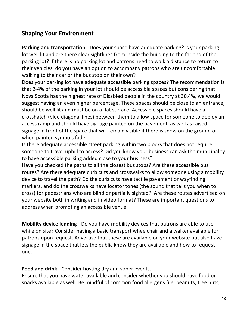## **Shaping Your Environment**

**Parking and transportation -** Does your space have adequate parking? Is your parking lot well lit and are there clear sightlines from inside the building to the far end of the parking lot? If there is no parking lot and patrons need to walk a distance to return to their vehicles, do you have an option to accompany patrons who are uncomfortable walking to their car or the bus stop on their own?

Does your parking lot have adequate accessible parking spaces? The recommendation is that 2-4% of the parking in your lot should be accessible spaces but considering that Nova Scotia has the highest rate of Disabled people in the country at 30.4%, we would suggest having an even higher percentage. These spaces should be close to an entrance, should be well lit and must be on a flat surface. Accessible spaces should have a crosshatch (blue diagonal lines) between them to allow space for someone to deploy an access ramp and should have signage painted on the pavement, as well as raised signage in front of the space that will remain visible if there is snow on the ground or when painted symbols fade.

Is there adequate accessible street parking within two blocks that does not require someone to travel uphill to access? Did you know your business can ask the municipality to have accessible parking added close to your business?

Have you checked the paths to all the closest bus stops? Are these accessible bus routes? Are there adequate curb cuts and crosswalks to allow someone using a mobility device to travel the path? Do the curb cuts have tactile pavement or wayfinding markers, and do the crosswalks have locator tones (the sound that tells you when to cross) for pedestrians who are blind or partially sighted? Are these routes advertised on your website both in writing and in video format? These are important questions to address when promoting an accessible venue.

**Mobility device lending -** Do you have mobility devices that patrons are able to use while on site? Consider having a basic transport wheelchair and a walker available for patrons upon request. Advertise that these are available on your website but also have signage in the space that lets the public know they are available and how to request one.

**Food and drink -** Consider hosting dry and sober events.

Ensure that you have water available and consider whether you should have food or snacks available as well. Be mindful of common food allergens (i.e. peanuts, tree nuts,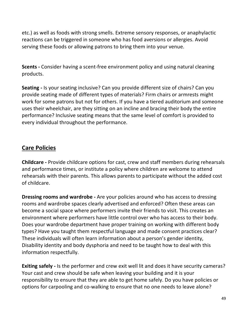etc.) as well as foods with strong smells. Extreme sensory responses, or anaphylactic reactions can be triggered in someone who has food aversions or allergies. Avoid serving these foods or allowing patrons to bring them into your venue.

**Scents -** Consider having a scent-free environment policy and using natural cleaning products.

**Seating -** Is your seating inclusive? Can you provide different size of chairs? Can you provide seating made of different types of materials? Firm chairs or armrests might work for some patrons but not for others. If you have a tiered auditorium and someone uses their wheelchair, are they sitting on an incline and bracing their body the entire performance? Inclusive seating means that the same level of comfort is provided to every individual throughout the performance.

## **Care Policies**

**Childcare -** Provide childcare options for cast, crew and staff members during rehearsals and performance times, or institute a policy where children are welcome to attend rehearsals with their parents. This allows parents to participate without the added cost of childcare.

**Dressing rooms and wardrobe -** Are your policies around who has access to dressing rooms and wardrobe spaces clearly advertised and enforced? Often these areas can become a social space where performers invite their friends to visit. This creates an environment where performers have little control over who has access to their body. Does your wardrobe department have proper training on working with different body types? Have you taught them respectful language and made consent practices clear? These individuals will often learn information about a person's gender identity, Disability identity and body dysphoria and need to be taught how to deal with this information respectfully.

**Exiting safely -** Is the performer and crew exit well lit and does it have security cameras? Your cast and crew should be safe when leaving your building and it is your responsibility to ensure that they are able to get home safely. Do you have policies or options for carpooling and co-walking to ensure that no one needs to leave alone?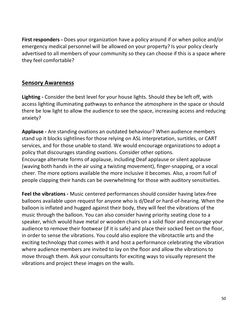**First responders -** Does your organization have a policy around if or when police and/or emergency medical personnel will be allowed on your property? Is your policy clearly advertised to all members of your community so they can choose if this is a space where they feel comfortable?

#### **Sensory Awareness**

**Lighting -** Consider the best level for your house lights. Should they be left off, with access lighting illuminating pathways to enhance the atmosphere in the space or should there be low light to allow the audience to see the space, increasing access and reducing anxiety?

**Applause -** Are standing ovations an outdated behaviour? When audience members stand up it blocks sightlines for those relying on ASL interpretation, surtitles, or CART services, and for those unable to stand. We would encourage organizations to adopt a policy that discourages standing ovations. Consider other options.

Encourage alternate forms of applause, including Deaf applause or silent applause (waving both hands in the air using a twisting movement), finger-snapping, or a vocal cheer. The more options available the more inclusive it becomes. Also, a room full of people clapping their hands can be overwhelming for those with auditory sensitivities.

**Feel the vibrations -** Music centered performances should consider having latex-free balloons available upon request for anyone who is d/Deaf or hard-of-hearing. When the balloon is inflated and hugged against their body, they will feel the vibrations of the music through the balloon. You can also consider having priority seating close to a speaker, which would have metal or wooden chairs on a solid floor and encourage your audience to remove their footwear (if it is safe) and place their socked feet on the floor, in order to sense the vibrations. You could also explore the vibrotactile arts and the exciting technology that comes with it and host a performance celebrating the vibration where audience members are invited to lay on the floor and allow the vibrations to move through them. Ask your consultants for exciting ways to visually represent the vibrations and project these images on the walls.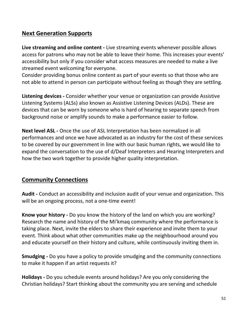## **Next Generation Supports**

**Live streaming and online content -** Live streaming events whenever possible allows access for patrons who may not be able to leave their home. This increases your events' accessibility but only if you consider what access measures are needed to make a live streamed event welcoming for everyone.

Consider providing bonus online content as part of your events so that those who are not able to attend in person can participate without feeling as though they are settling.

**Listening devices -** Consider whether your venue or organization can provide Assistive Listening Systems (ALSs) also known as Assistive Listening Devices (ALDs). These are devices that can be worn by someone who is hard of hearing to separate speech from background noise or amplify sounds to make a performance easier to follow.

**Next level ASL -** Once the use of ASL Interpretation has been normalized in all performances and once we have advocated as an industry for the cost of these services to be covered by our government in line with our basic human rights, we would like to expand the conversation to the use of d/Deaf Interpreters and Hearing Interpreters and how the two work together to provide higher quality interpretation.

## **Community Connections**

**Audit -** Conduct an accessibility and inclusion audit of your venue and organization. This will be an ongoing process, not a one-time event!

**Know your history -** Do you know the history of the land on which you are working? Research the name and history of the Mi'kmaq community where the performance is taking place. Next, invite the elders to share their experience and invite them to your event. Think about what other communities make up the neighbourhood around you and educate yourself on their history and culture, while continuously inviting them in.

**Smudging -** Do you have a policy to provide smudging and the community connections to make it happen if an artist requests it?

**Holidays -** Do you schedule events around holidays? Are you only considering the Christian holidays? Start thinking about the community you are serving and schedule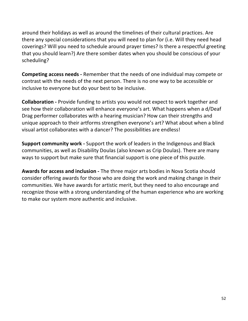around their holidays as well as around the timelines of their cultural practices. Are there any special considerations that you will need to plan for (i.e. Will they need head coverings? Will you need to schedule around prayer times? Is there a respectful greeting that you should learn?) Are there somber dates when you should be conscious of your scheduling?

**Competing access needs -** Remember that the needs of one individual may compete or contrast with the needs of the next person. There is no one way to be accessible or inclusive to everyone but do your best to be inclusive.

**Collaboration -** Provide funding to artists you would not expect to work together and see how their collaboration will enhance everyone's art. What happens when a d/Deaf Drag performer collaborates with a hearing musician? How can their strengths and unique approach to their artforms strengthen everyone's art? What about when a blind visual artist collaborates with a dancer? The possibilities are endless!

**Support community work -** Support the work of leaders in the Indigenous and Black communities, as well as Disability Doulas (also known as Crip Doulas). There are many ways to support but make sure that financial support is one piece of this puzzle.

**Awards for access and inclusion -** The three major arts bodies in Nova Scotia should consider offering awards for those who are doing the work and making change in their communities. We have awards for artistic merit, but they need to also encourage and recognize those with a strong understanding of the human experience who are working to make our system more authentic and inclusive.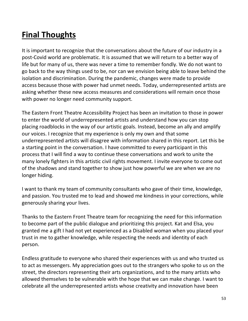# **Final Thoughts**

It is important to recognize that the conversations about the future of our industry in a post-Covid world are problematic. It is assumed that we will return to a better way of life but for many of us, there was never a time to remember fondly. We do not want to go back to the way things used to be, nor can we envision being able to leave behind the isolation and discrimination. During the pandemic, changes were made to provide access because those with power had unmet needs. Today, underrepresented artists are asking whether these new access measures and considerations will remain once those with power no longer need community support.

The Eastern Front Theatre Accessibility Project has been an invitation to those in power to enter the world of underrepresented artists and understand how you can stop placing roadblocks in the way of our artistic goals. Instead, become an ally and amplify our voices. I recognize that my experience is only my own and that some underrepresented artists will disagree with information shared in this report. Let this be a starting point in the conversation. I have committed to every participant in this process that I will find a way to continue these conversations and work to unite the many lonely fighters in this artistic civil rights movement. I invite everyone to come out of the shadows and stand together to show just how powerful we are when we are no longer hiding.

I want to thank my team of community consultants who gave of their time, knowledge, and passion. You trusted me to lead and showed me kindness in your corrections, while generously sharing your lives.

Thanks to the Eastern Front Theatre team for recognizing the need for this information to become part of the public dialogue and prioritizing this project. Kat and Elsa, you granted me a gift I had not yet experienced as a Disabled woman when you placed your trust in me to gather knowledge, while respecting the needs and identity of each person.

Endless gratitude to everyone who shared their experiences with us and who trusted us to act as messengers. My appreciation goes out to the strangers who spoke to us on the street, the directors representing their arts organizations, and to the many artists who allowed themselves to be vulnerable with the hope that we can make change. I want to celebrate all the underrepresented artists whose creativity and innovation have been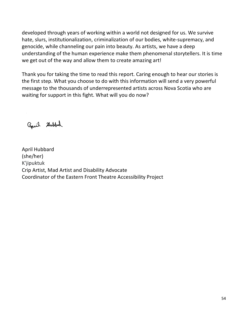developed through years of working within a world not designed for us. We survive hate, slurs, institutionalization, criminalization of our bodies, white-supremacy, and genocide, while channeling our pain into beauty. As artists, we have a deep understanding of the human experience make them phenomenal storytellers. It is time we get out of the way and allow them to create amazing art!

Thank you for taking the time to read this report. Caring enough to hear our stories is the first step. What you choose to do with this information will send a very powerful message to the thousands of underrepresented artists across Nova Scotia who are waiting for support in this fight. What will you do now?

april dubbed

April Hubbard (she/her) K'jipuktuk Crip Artist, Mad Artist and Disability Advocate Coordinator of the Eastern Front Theatre Accessibility Project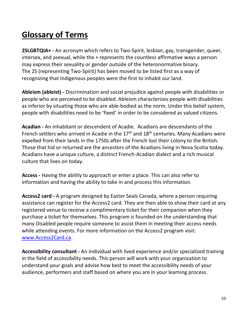## **Glossary of Terms**

**2SLGBTQIA+ -** An acronym which refers to Two-Spirit, lesbian, gay, transgender, queer, intersex, and asexual, while the + represents the countless affirmative ways a person may express their sexuality or gender outside of the heteronormative binary. The 2S (representing Two-Spirit) has been moved to be listed first as a way of recognizing that Indigenous peoples were the first to inhabit our land.

**Ableism (ableist) -** Discrimination and social prejudice against people with disabilities or people who are perceived to be disabled. Ableism characterizes people with disabilities as inferior by situating those who are able-bodied as the norm. Under this belief system, people with disabilities need to be 'fixed' in order to be considered as valued citizens.

**Acadian -** An inhabitant or descendent of Acadie. Acadians are descendants of the French settlers who arrived in Acadie in the  $17<sup>th</sup>$  and  $18<sup>th</sup>$  centuries. Many Acadians were expelled from their lands in the 1750s after the French lost their colony to the British. Those that hid or returned are the ancestors of the Acadians living in Nova Scotia today. Acadians have a unique culture, a distinct French-Acadian dialect and a rich musical culture that lives on today.

**Access -** Having the ability to approach or enter a place. This can also refer to information and having the ability to take in and process this information.

**Access2 card -** A program designed by Easter Seals Canada, where a person requiring assistance can register for the Access2 card. They are then able to show their card at any registered venue to receive a complimentary ticket for their companion when they purchase a ticket for themselves. This program is founded on the understanding that many Disabled people require someone to assist them in meeting their access needs while attending events. For more information on the Access2 program visit: [www.Access2Card.ca.](https://easterseals.ca/english/access-2-card-program/?gclid=Cj0KCQiA2sqOBhCGARIsAPuPK0i7kxnKDE_uLrQMIdTkSvD7or2rWmsuPlt5fKSSswQ37z73VYMZQG8aAovlEALw_wcB)

**Accessibility consultant -** An individual with lived experience and/or specialized training in the field of accessibility needs. This person will work with your organization to understand your goals and advise how best to meet the accessibility needs of your audience, performers and staff based on where you are in your learning process.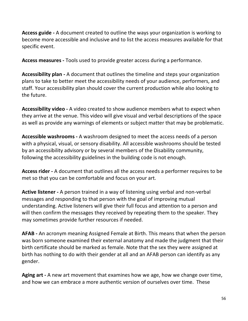**Access guide -** A document created to outline the ways your organization is working to become more accessible and inclusive and to list the access measures available for that specific event.

**Access measures -** Tools used to provide greater access during a performance.

**Accessibility plan -** A document that outlines the timeline and steps your organization plans to take to better meet the accessibility needs of your audience, performers, and staff. Your accessibility plan should cover the current production while also looking to the future.

**Accessibility video -** A video created to show audience members what to expect when they arrive at the venue. This video will give visual and verbal descriptions of the space as well as provide any warnings of elements or subject matter that may be problematic.

**Accessible washrooms -** A washroom designed to meet the access needs of a person with a physical, visual, or sensory disability. All accessible washrooms should be tested by an accessibility advisory or by several members of the Disability community, following the accessibility guidelines in the building code is not enough.

**Access rider -** A document that outlines all the access needs a performer requires to be met so that you can be comfortable and focus on your art.

**Active listener -** A person trained in a way of listening using verbal and non-verbal messages and responding to that person with the goal of improving mutual understanding. Active listeners will give their full focus and attention to a person and will then confirm the messages they received by repeating them to the speaker. They may sometimes provide further resources if needed.

**AFAB -** An acronym meaning Assigned Female at Birth. This means that when the person was born someone examined their external anatomy and made the judgment that their birth certificate should be marked as female. Note that the sex they were assigned at birth has nothing to do with their gender at all and an AFAB person can identify as any gender.

**Aging art -** A new art movement that examines how we age, how we change over time, and how we can embrace a more authentic version of ourselves over time. These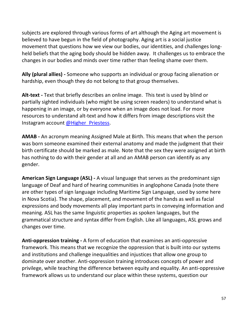subjects are explored through various forms of art although the Aging art movement is believed to have begun in the field of photography. Aging art is a social justice movement that questions how we view our bodies, our identities, and challenges longheld beliefs that the aging body should be hidden away. It challenges us to embrace the changes in our bodies and minds over time rather than feeling shame over them.

**Ally (plural allies) -** Someone who supports an individual or group facing alienation or hardship, even though they do not belong to that group themselves.

**Alt-text -** Text that briefly describes an online image. This text is used by blind or partially sighted individuals (who might be using screen readers) to understand what is happening in an image, or by everyone when an image does not load. For more resources to understand alt-text and how it differs from image descriptions visit the Instagram account [@Higher\\_Priestess.](https://www.instagram.com/higher_priestess/)

**AMAB -** An acronym meaning Assigned Male at Birth. This means that when the person was born someone examined their external anatomy and made the judgment that their birth certificate should be marked as male. Note that the sex they were assigned at birth has nothing to do with their gender at all and an AMAB person can identify as any gender.

**American Sign Language (ASL) -** A visual language that serves as the predominant sign language of Deaf and hard of hearing communities in anglophone Canada (note there are other types of sign language including Maritime Sign Language, used by some here in Nova Scotia). The shape, placement, and movement of the hands as well as facial expressions and body movements all play important parts in conveying information and meaning. ASL has the same linguistic properties as spoken languages, but the grammatical structure and syntax differ from English. Like all languages, ASL grows and changes over time.

**Anti-oppression training -** A form of education that examines an anti-oppressive framework. This means that we recognize the oppression that is built into our systems and institutions and challenge inequalities and injustices that allow one group to dominate over another. Anti-oppression training introduces concepts of power and privilege, while teaching the difference between equity and equality. An anti-oppressive framework allows us to understand our place within these systems, question our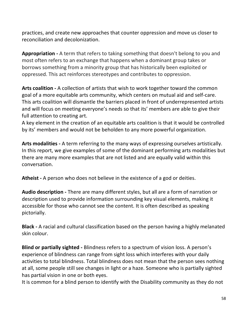practices, and create new approaches that counter oppression and move us closer to reconciliation and decolonization.

**Appropriation -** A term that refers to taking something that doesn't belong to you and most often refers to an exchange that happens when a dominant group takes or borrows something from a minority group that has historically been exploited or oppressed. This act reinforces stereotypes and contributes to oppression.

**Arts coalition -** A collection of artists that wish to work together toward the common goal of a more equitable arts community, which centers on mutual aid and self-care. This arts coalition will dismantle the barriers placed in front of underrepresented artists and will focus on meeting everyone's needs so that its' members are able to give their full attention to creating art.

A key element in the creation of an equitable arts coalition is that it would be controlled by its' members and would not be beholden to any more powerful organization.

**Arts modalities -** A term referring to the many ways of expressing ourselves artistically. In this report, we give examples of some of the dominant performing arts modalities but there are many more examples that are not listed and are equally valid within this conversation.

**Atheist -** A person who does not believe in the existence of a god or deities.

**Audio description -** There are many different styles, but all are a form of narration or description used to provide information surrounding key visual elements, making it accessible for those who cannot see the content. It is often described as speaking pictorially.

**Black -** A racial and cultural classification based on the person having a highly melanated skin colour.

**Blind or partially sighted -** Blindness refers to a spectrum of vision loss. A person's experience of blindness can range from sight loss which interferes with your daily activities to total blindness. Total blindness does not mean that the person sees nothing at all, some people still see changes in light or a haze. Someone who is partially sighted has partial vision in one or both eyes.

It is common for a blind person to identify with the Disability community as they do not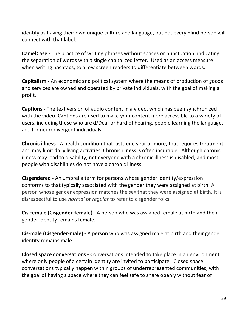identify as having their own unique culture and language, but not every blind person will connect with that label.

**CamelCase -** The practice of writing phrases without spaces or punctuation, indicating the separation of words with a single capitalized letter. Used as an access measure when writing hashtags, to allow screen readers to differentiate between words.

**Capitalism -** An economic and political system where the means of production of goods and services are owned and operated by private individuals, with the goal of making a profit.

**Captions -** The text version of audio content in a video, which has been synchronized with the video. Captions are used to make your content more accessible to a variety of users, including those who are d/Deaf or hard of hearing, people learning the language, and for neurodivergent individuals.

**Chronic illness -** A health condition that lasts one year or more, that requires treatment, and may limit daily living activities. Chronic illness is often incurable. Although chronic illness may lead to disability, not everyone with a chronic illness is disabled, and most people with disabilities do not have a chronic illness.

**Cisgendered -** An umbrella term for persons whose gender identity/expression conforms to that typically associated with the gender they were assigned at birth. A person whose gender expression matches the sex that they were assigned at birth. It is disrespectful to use *normal* or *regular* to refer to cisgender folks

**Cis-female (Cisgender-female) -** A person who was assigned female at birth and their gender identity remains female.

**Cis-male (Cisgender-male) -** A person who was assigned male at birth and their gender identity remains male.

**Closed space conversations -** Conversations intended to take place in an environment where only people of a certain identity are invited to participate. Closed space conversations typically happen within groups of underrepresented communities, with the goal of having a space where they can feel safe to share openly without fear of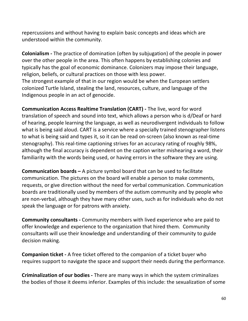repercussions and without having to explain basic concepts and ideas which are understood within the community.

**Colonialism -** The practice of domination (often by subjugation) of the people in power over the other people in the area. This often happens by establishing colonies and typically has the goal of economic dominance. Colonizers may impose their language, religion, beliefs, or cultural practices on those with less power. The strongest example of that in our region would be when the European settlers colonized Turtle Island, stealing the land, resources, culture, and language of the Indigenous people in an act of genocide.

**Communication Access Realtime Translation (CART) -** The live, word for word translation of speech and sound into text, which allows a person who is d/Deaf or hard of hearing, people learning the language, as well as neurodivergent individuals to follow what is being said aloud. CART is a service where a specially trained stenographer listens to what is being said and types it, so it can be read on-screen (also known as real-time stenography). This real-time captioning strives for an accuracy rating of roughly 98%, although the final accuracy is dependent on the caption writer mishearing a word, their familiarity with the words being used, or having errors in the software they are using.

**Communication boards –** A picture symbol board that can be used to facilitate communication. The pictures on the board will enable a person to make comments, requests, or give direction without the need for verbal communication. Communication boards are traditionally used by members of the autism community and by people who are non-verbal, although they have many other uses, such as for individuals who do not speak the language or for patrons with anxiety.

**Community consultants -** Community members with lived experience who are paid to offer knowledge and experience to the organization that hired them. Community consultants will use their knowledge and understanding of their community to guide decision making.

**Companion ticket -** A free ticket offered to the companion of a ticket buyer who requires support to navigate the space and support their needs during the performance.

**Criminalization of our bodies -** There are many ways in which the system criminalizes the bodies of those it deems inferior. Examples of this include: the sexualization of some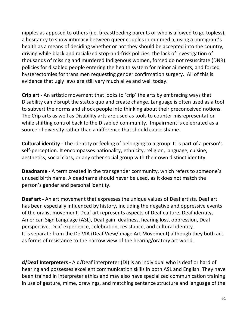nipples as apposed to others (i.e. breastfeeding parents or who is allowed to go topless), a hesitancy to show intimacy between queer couples in our media, using a immigrant's health as a means of deciding whether or not they should be accepted into the country, driving while black and racialized stop-and-frisk policies, the lack of investigation of thousands of missing and murdered Indigenous women, forced do not resuscitate (DNR) policies for disabled people entering the health system for minor ailments, and forced hysterectomies for trans men requesting gender confirmation surgery. All of this is evidence that ugly laws are still very much alive and well today.

**Crip art -** An artistic movement that looks to 'crip' the arts by embracing ways that Disability can disrupt the status quo and create change. Language is often used as a tool to subvert the norms and shock people into thinking about their preconceived notions. The Crip arts as well as Disability arts are used as tools to counter misrepresentation while shifting control back to the Disabled community. Impairment is celebrated as a source of diversity rather than a difference that should cause shame.

**Cultural identity -** The identity or feeling of belonging to a group. It is part of a person's self-perception. It encompasses nationality, ethnicity, religion, language, cuisine, aesthetics, social class, or any other social group with their own distinct identity.

**Deadname -** A term created in the transgender community, which refers to someone's unused birth name. A deadname should never be used, as it does not match the person's gender and personal identity.

**Deaf art -** An art movement that expresses the unique values of Deaf artists. Deaf art has been especially influenced by history, including the negative and oppressive events of the oralist movement. Deaf art represents aspects of Deaf culture, Deaf identity, American Sign Language (ASL), Deaf gain, deafness, hearing loss, oppression, Deaf perspective, Deaf experience, celebration, resistance, and cultural identity. It is separate from the De'VIA (Deaf View/Image Art Movement) although they both act as forms of resistance to the narrow view of the hearing/oratory art world.

**d/Deaf Interpreters -** A d/Deaf interpreter (DI) is an individual who is deaf or hard of hearing and possesses excellent communication skills in both ASL and English. They have been trained in interpreter ethics and may also have specialized communication training in use of gesture, mime, drawings, and matching sentence structure and language of the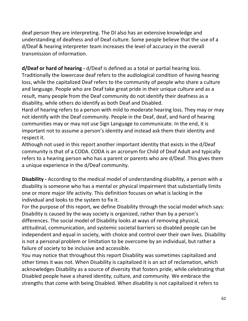deaf person they are interpreting. The DI also has an extensive knowledge and understanding of deafness and of Deaf culture. Some people believe that the use of a d/Deaf & hearing interpreter team increases the level of accuracy in the overall transmission of information.

**d/Deaf or hard of hearing -** d/Deaf is defined as a total or partial hearing loss. Traditionally the lowercase deaf refers to the audiological condition of having hearing loss, while the capitalized Deaf refers to the community of people who share a culture and language. People who are Deaf take great pride in their unique culture and as a result, many people from the Deaf community do not identify their deafness as a disability, while others do identify as both Deaf and Disabled.

Hard of hearing refers to a person with mild to moderate hearing loss. They may or may not identify with the Deaf community. People in the Deaf, deaf, and hard of hearing communities may or may not use Sign Language to communicate. In the end, it is important not to assume a person's identity and instead ask them their identity and respect it.

Although not used in this report another important identity that exists in the d/Deaf community is that of a CODA. CODA is an acronym for Child of Deaf Adult and typically refers to a hearing person who has a parent or parents who are d/Deaf. This gives them a unique experience in the d/Deaf community.

**Disability -** According to the medical model of understanding disability, a person with a disability is someone who has a mental or physical impairment that substantially limits one or more major life activity. This definition focuses on what is lacking in the individual and looks to the system to fix it.

For the purpose of this report, we define Disability through the social model which says: Disability is caused by the way society is organized, rather than by a person's differences. The social model of Disability looks at ways of removing physical, attitudinal, communication, and systemic societal barriers so disabled people can be independent and equal in society, with choice and control over their own lives. Disability is not a personal problem or limitation to be overcome by an individual, but rather a failure of society to be inclusive and accessible.  

You may notice that throughout this report Disability was sometimes capitalized and other times it was not. When Disability is capitalized it is an act of reclamation, which acknowledges Disability as a source of diversity that fosters pride, while celebrating that Disabled people have a shared identity, culture, and community. We embrace the strengths that come with being Disabled. When disability is not capitalized it refers to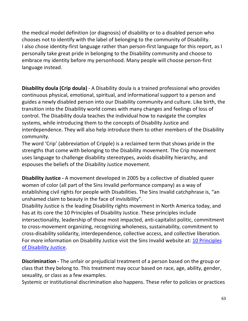the medical model definition (or diagnosis) of disability or to a disabled person who chooses not to identify with the label of belonging to the community of Disability. I also chose identity-first language rather than person-first language for this report, as I personally take great pride in belonging to the Disability community and choose to embrace my identity before my personhood. Many people will choose person-first language instead.

**Disability doula (Crip doula)** - A Disability doula is a trained professional who provides continuous physical, emotional, spiritual, and informational support to a person and guides a newly disabled person into our Disability community and culture. Like birth, the transition into the Disability world comes with many changes and feelings of loss of control. The Disability doula teaches the individual how to navigate the complex systems, while introducing them to the concepts of Disability Justice and interdependence. They will also help introduce them to other members of the Disability community.

The word 'Crip' (abbreviation of Cripple) is a reclaimed term that shows pride in the strengths that come with belonging to the Disability movement. The Crip movement uses language to challenge disability stereotypes, avoids disability hierarchy, and espouses the beliefs of the Disability Justice movement.

**Disability Justice -** A movement developed in 2005 by a collective of disabled queer women of color (all part of the Sins Invalid performance company) as a way of establishing civil rights for people with Disabilities. The Sins Invalid catchphrase is, "an unshamed claim to beauty in the face of invisibility".

Disability Justice is the leading Disability rights movement in North America today, and has at its core the 10 Principles of Disability Justice. These principles include intersectionality, leadership of those most impacted, anti-capitalist politic, commitment to cross-movement organizing, recognizing wholeness, sustainability, commitment to cross-disability solidarity, interdependence, collective access, and collective liberation. For more information on Disability Justice visit the Sins Invalid website at: [10 Principles](https://www.sinsinvalid.org/blog/10-principles-of-disability-justice)  [of Disability Justice.](https://www.sinsinvalid.org/blog/10-principles-of-disability-justice)

**Discrimination -** The unfair or prejudicial treatment of a person based on the group or class that they belong to. This treatment may occur based on race, age, ability, gender, sexuality, or class as a few examples.

Systemic or institutional discrimination also happens. These refer to policies or practices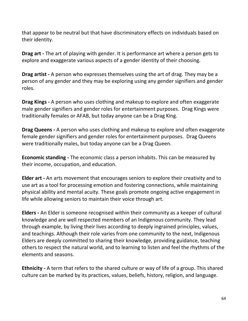that appear to be neutral but that have discriminatory effects on individuals based on their identity.

**Drag art -** The art of playing with gender. It is performance art where a person gets to explore and exaggerate various aspects of a gender identity of their choosing.

**Drag artist -** A person who expresses themselves using the art of drag. They may be a person of any gender and they may be exploring using any gender signifiers and gender roles.

**Drag Kings -** A person who uses clothing and makeup to explore and often exaggerate male gender signifiers and gender roles for entertainment purposes. Drag Kings were traditionally females or AFAB, but today anyone can be a Drag King.

**Drag Queens -** A person who uses clothing and makeup to explore and often exaggerate female gender signifiers and gender roles for entertainment purposes. Drag Queens were traditionally males, but today anyone can be a Drag Queen.

**Economic standing -** The economic class a person inhabits. This can be measured by their income, occupation, and education.

**Elder art -** An arts movement that encourages seniors to explore their creativity and to use art as a tool for processing emotion and fostering connections, while maintaining physical ability and mental acuity. These goals promote ongoing active engagement in life while allowing seniors to maintain their voice through art.

**Elders -** An Elder is someone recognised within their community as a keeper of cultural knowledge and are well respected members of an Indigenous community. They lead through example, by living their lives according to deeply ingrained principles, values, and teachings. Although their role varies from one community to the next, Indigenous Elders are deeply committed to sharing their knowledge, providing guidance, teaching others to respect the natural world, and to learning to listen and feel the rhythms of the elements and seasons.

**Ethnicity -** A term that refers to the shared culture or way of life of a group. This shared culture can be marked by its practices, values, beliefs, history, religion, and language.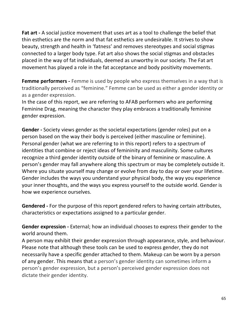**Fat art -** A social justice movement that uses art as a tool to challenge the belief that thin esthetics are the norm and that fat esthetics are undesirable. It strives to show beauty, strength and health in 'fatness' and removes stereotypes and social stigmas connected to a larger body type. Fat art also shows the social stigmas and obstacles placed in the way of fat individuals, deemed as unworthy in our society. The Fat art movement has played a role in the fat acceptance and body positivity movements.

**Femme performers** - Femme is used by people who express themselves in a way that is traditionally perceived as "feminine." Femme can be used as either a gender identity or as a gender expression.

In the case of this report, we are referring to AFAB performers who are performing Feminine Drag, meaning the character they play embraces a traditionally feminine gender expression.

**Gender -** Society views gender as the societal expectations (gender roles) put on a person based on the way their body is perceived (either masculine or feminine). Personal gender (what we are referring to in this report) refers to a spectrum of identities that combine or reject ideas of femininity and masculinity. Some cultures recognize a third gender identity outside of the binary of feminine or masculine. A person's gender may fall anywhere along this spectrum or may be completely outside it. Where you situate yourself may change or evolve from day to day or over your lifetime. Gender includes the ways you understand your physical body, the way you experience your inner thoughts, and the ways you express yourself to the outside world. Gender is how we experience ourselves.

**Gendered -** For the purpose of this report gendered refers to having certain attributes, characteristics or expectations assigned to a particular gender.

**Gender expression -** External; how an individual chooses to express their gender to the world around them.

A person may exhibit their gender expression through appearance, style, and behaviour. Please note that although these tools can be used to express gender, they do not necessarily have a specific gender attached to them. Makeup can be worn by a person of any gender. This means that a person's gender identity can sometimes inform a person's gender expression, but a person's perceived gender expression does not dictate their gender identity.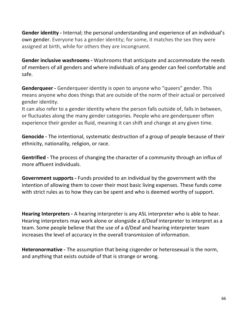**Gender identity -** Internal; the personal understanding and experience of an individual's own gender. Everyone has a gender identity; for some, it matches the sex they were assigned at birth, while for others they are incongruent.

**Gender inclusive washrooms -** Washrooms that anticipate and accommodate the needs of members of all genders and where individuals of any gender can feel comfortable and safe.

**Genderqueer -** Genderqueer identity is open to anyone who "queers" gender. This means anyone who does things that are outside of the norm of their actual or perceived gender identity.

It can also refer to a gender identity where the person falls outside of, falls in between, or fluctuates along the many gender categories. People who are genderqueer often experience their gender as fluid, meaning it can shift and change at any given time.

**Genocide -** The intentional, systematic destruction of a group of people because of their ethnicity, nationality, religion, or race.

**Gentrified -** The process of changing the character of a community through an influx of more affluent individuals.

**Government supports -** Funds provided to an individual by the government with the intention of allowing them to cover their most basic living expenses. These funds come with strict rules as to how they can be spent and who is deemed worthy of support.

**Hearing Interpreters -** A hearing interpreter is any ASL interpreter who is able to hear. Hearing interpreters may work alone or alongside a d/Deaf interpreter to interpret as a team. Some people believe that the use of a d/Deaf and hearing interpreter team increases the level of accuracy in the overall transmission of information.

**Heteronormative -** The assumption that being cisgender or heterosexual is the norm, and anything that exists outside of that is strange or wrong.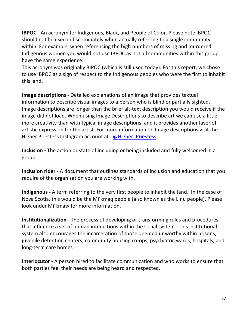**IBPOC -** An acronym for Indigenous, Black, and People of Color. Please note IBPOC should not be used indiscriminately when actually referring to a single community within. For example, when referencing the high numbers of missing and murdered Indigenous women you would not use IBPOC as not all communities within this group have the same experience.

This acronym was originally BIPOC (which is still used today). For this report, we chose to use IBPOC as a sign of respect to the Indigenous peoples who were the first to inhabit this land.

**Image descriptions -** Detailed explanations of an image that provides textual information to describe visual images to a person who is blind or partially sighted. Image descriptions are longer than the brief alt-text description you would receive if the image did not load. When using Image Descriptions to describe art we can use a little more creativity than with typical image descriptions, and it provides another layer of artistic expression for the artist. For more information on Image descriptions visit the Higher Priestess Instagram account at: [@Higher\\_Priestess.](https://www.instagram.com/higher_priestess/)

**Inclusion -** The action or state of including or being included and fully welcomed in a group.

**Inclusion rider -** A document that outlines standards of inclusion and education that you require of the organization you are working with.

**Indigenous -** A term referring to the very first people to inhabit the land. In the case of Nova Scotia, this would be the Mi'kmaq people (also known as the L'nu people). Please look under Mi'kmaw for more information.

**Institutionalization -** The process of developing or transforming rules and procedures that influence a set of human interactions within the social system. This institutional system also encourages the incarceration of those deemed unworthy within prisons, juvenile detention centers, community housing co-ops, psychiatric wards, hospitals, and long-term care homes

**Interlocutor -** A person hired to facilitate communication and who works to ensure that both parties feel their needs are being heard and respected.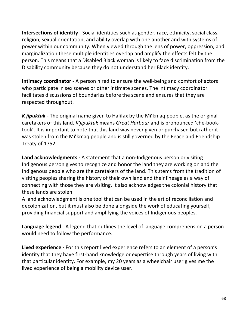**Intersections of identity -** Social identities such as gender, race, ethnicity, social class, religion, sexual orientation, and ability overlap with one another and with systems of power within our community. When viewed through the lens of power, oppression, and marginalization these multiple identities overlap and amplify the effects felt by the person. This means that a Disabled Black woman is likely to face discrimination from the Disability community because they do not understand her Black identity.

**Intimacy coordinator -** A person hired to ensure the well-being and comfort of actors who participate in sex scenes or other intimate scenes. The intimacy coordinator facilitates discussions of boundaries before the scene and ensures that they are respected throughout.

*K'jipuktuk* **-** The original name given to Halifax by the Mi'kmaq people, as the original caretakers of this land. *K'jipuktuk* means *Great Harbour* and is pronounced 'che-booktook'. It is important to note that this land was never given or purchased but rather it was stolen from the Mi'kmaq people and is still governed by the Peace and Friendship Treaty of 1752.

**Land acknowledgments -** A statement that a non-Indigenous person or visiting Indigenous person gives to recognize and honor the land they are working on and the Indigenous people who are the caretakers of the land. This stems from the tradition of visiting peoples sharing the history of their own land and their lineage as a way of connecting with those they are visiting. It also acknowledges the colonial history that these lands are stolen.

A land acknowledgment is one tool that can be used in the art of reconciliation and decolonization, but it must also be done alongside the work of educating yourself, providing financial support and amplifying the voices of Indigenous peoples.

**Language legend -** A legend that outlines the level of language comprehension a person would need to follow the performance.

**Lived experience -** For this report lived experience refers to an element of a person's identity that they have first-hand knowledge or expertise through years of living with that particular identity. For example, my 20 years as a wheelchair user gives me the lived experience of being a mobility device user.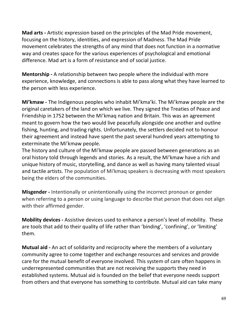**Mad arts -** Artistic expression based on the principles of the Mad Pride movement, focusing on the history, identities, and expression of Madness. The Mad Pride movement celebrates the strengths of any mind that does not function in a normative way and creates space for the various experiences of psychological and emotional difference. Mad art is a form of resistance and of social justice.

**Mentorship -** A relationship between two people where the individual with more experience, knowledge, and connections is able to pass along what they have learned to the person with less experience.

**Mi'kmaw -** The Indigenous peoples who inhabit Mi'kma'ki. The Mi'kmaw people are the original caretakers of the land on which we live. They signed the Treaties of Peace and Friendship in 1752 between the Mi'kmaq nation and Britain. This was an agreement meant to govern how the two would live peacefully alongside one another and outline fishing, hunting, and trading rights. Unfortunately, the settlers decided not to honour their agreement and instead have spent the past several hundred years attempting to exterminate the Mi'kmaw people.

The history and culture of the Mi'kmaw people are passed between generations as an oral history told through legends and stories. As a result, the Mi'kmaw have a rich and unique history of music, storytelling, and dance as well as having many talented visual and tactile artists. The population of Mi'kmaq speakers is decreasing with most speakers being the elders of the communities.

**Misgender -** Intentionally or unintentionally using the incorrect pronoun or gender when referring to a person or using language to describe that person that does not align with their affirmed gender.

**Mobility devices -** Assistive devices used to enhance a person's level of mobility. These are tools that add to their quality of life rather than 'binding', 'confining', or 'limiting' them.

**Mutual aid -** An act of solidarity and reciprocity where the members of a voluntary community agree to come together and exchange resources and services and provide care for the mutual benefit of everyone involved. This system of care often happens in underrepresented communities that are not receiving the supports they need in established systems. Mutual aid is founded on the belief that everyone needs support from others and that everyone has something to contribute. Mutual aid can take many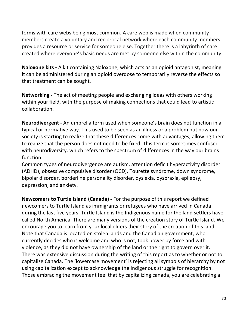forms with care webs being most common. A care web is made when community members create a voluntary and reciprocal network where each community members provides a resource or service for someone else. Together there is a labyrinth of care created where everyone's basic needs are met by someone else within the community.

**Naloxone kits -** A kit containing Naloxone, which acts as an opioid antagonist, meaning it can be administered during an opioid overdose to temporarily reverse the effects so that treatment can be sought.

**Networking -** The act of meeting people and exchanging ideas with others working within your field, with the purpose of making connections that could lead to artistic collaboration.

**Neurodivergent -** An umbrella term used when someone's brain does not function in a typical or normative way. This used to be seen as an illness or a problem but now our society is starting to realize that these differences come with advantages, allowing them to realize that the person does not need to be fixed. This term is sometimes confused with neurodiversity, which refers to the spectrum of differences in the way our brains function.

Common types of neurodivergence are autism, attention deficit hyperactivity disorder (ADHD), obsessive compulsive disorder (OCD), Tourette syndrome, down syndrome, bipolar disorder, borderline personality disorder, dyslexia, dyspraxia, epilepsy, depression, and anxiety.

**Newcomers to Turtle Island (Canada) -** For the purpose of this report we defined newcomers to Turtle Island as immigrants or refugees who have arrived in Canada during the last five years. Turtle Island is the Indigenous name for the land settlers have called North America. There are many versions of the creation story of Turtle Island. We encourage you to learn from your local elders their story of the creation of this land. Note that Canada is located on stolen lands and the Canadian government, who currently decides who is welcome and who is not, took power by force and with violence, as they did not have ownership of the land or the right to govern over it. There was extensive discussion during the writing of this report as to whether or not to capitalize Canada. The 'lowercase movement' is rejecting all symbols of hierarchy by not using capitalization except to acknowledge the Indigenous struggle for recognition. Those embracing the movement feel that by capitalizing canada, you are celebrating a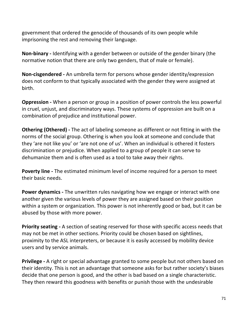government that ordered the genocide of thousands of its own people while imprisoning the rest and removing their language.

**Non-binary -** Identifying with a gender between or outside of the gender binary (the normative notion that there are only two genders, that of male or female).

**Non-cisgendered -** An umbrella term for persons whose gender identity/expression does not conform to that typically associated with the gender they were assigned at birth. 

**Oppression -** When a person or group in a position of power controls the less powerful in cruel, unjust, and discriminatory ways. These systems of oppression are built on a combination of prejudice and institutional power.

**Othering (Othered) -** The act of labeling someone as different or not fitting in with the norms of the social group. Othering is when you look at someone and conclude that they 'are not like you' or 'are not one of us'. When an individual is othered it fosters discrimination or prejudice. When applied to a group of people it can serve to dehumanize them and is often used as a tool to take away their rights.

**Poverty line -** The estimated minimum level of income required for a person to meet their basic needs.

**Power dynamics -** The unwritten rules navigating how we engage or interact with one another given the various levels of power they are assigned based on their position within a system or organization. This power is not inherently good or bad, but it can be abused by those with more power.

**Priority seating -** A section of seating reserved for those with specific access needs that may not be met in other sections. Priority could be chosen based on sightlines, proximity to the ASL interpreters, or because it is easily accessed by mobility device users and by service animals.

**Privilege -** A right or special advantage granted to some people but not others based on their identity. This is not an advantage that someone asks for but rather society's biases decide that one person is good, and the other is bad based on a single characteristic. They then reward this goodness with benefits or punish those with the undesirable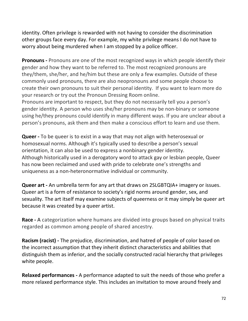identity. Often privilege is rewarded with not having to consider the discrimination other groups face every day. For example, my white privilege means I do not have to worry about being murdered when I am stopped by a police officer.

**Pronouns -** Pronouns are one of the most recognized ways in which people identify their gender and how they want to be referred to. The most recognized pronouns are they/them, she/her, and he/him but these are only a few examples. Outside of these commonly used pronouns, there are also neopronouns and some people choose to create their own pronouns to suit their personal identity. If you want to learn more do your research or try out the Pronoun Dressing Room online.

Pronouns are important to respect, but they do not necessarily tell you a person's gender identity. A person who uses she/her pronouns may be non-binary or someone using he/they pronouns could identify in many different ways. If you are unclear about a person's pronouns, ask them and then make a conscious effort to learn and use them.

**Queer -** To be queer is to exist in a way that may not align with heterosexual or homosexual norms. Although it's typically used to describe a person's sexual orientation, it can also be used to express a nonbinary gender identity. Although historically used in a derogatory word to attack gay or lesbian people, Queer has now been reclaimed and used with pride to celebrate one's strengths and uniqueness as a non-heteronormative individual or community.

**Queer art -** An umbrella term for any art that draws on 2SLGBTQIA+ imagery or issues. Queer art is a form of resistance to society's rigid norms around gender, sex, and sexuality. The art itself may examine subjects of queerness or it may simply be queer art because it was created by a queer artist.

**Race -** A categorization where humans are divided into groups based on physical traits regarded as common among people of shared ancestry.

**Racism (racist) -** The prejudice, discrimination, and hatred of people of color based on the incorrect assumption that they inherit distinct characteristics and abilities that distinguish them as inferior, and the socially constructed racial hierarchy that privileges white people.

**Relaxed performances -** A performance adapted to suit the needs of those who prefer a more relaxed performance style. This includes an invitation to move around freely and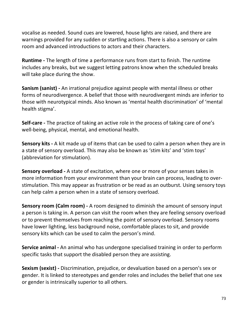vocalise as needed. Sound cues are lowered, house lights are raised, and there are warnings provided for any sudden or startling actions. There is also a sensory or calm room and advanced introductions to actors and their characters.

**Runtime -** The length of time a performance runs from start to finish. The runtime includes any breaks, but we suggest letting patrons know when the scheduled breaks will take place during the show.

**Sanism (sanist) -** An irrational prejudice against people with mental illness or other forms of neurodivergence. A belief that those with neurodivergent minds are inferior to those with neurotypical minds. Also known as 'mental health discrimination' of 'mental health stigma'.

**Self-care -** The practice of taking an active role in the process of taking care of one's well-being, physical, mental, and emotional health.

**Sensory kits -** A kit made up of items that can be used to calm a person when they are in a state of sensory overload. This may also be known as 'stim kits' and 'stim toys' (abbreviation for stimulation).

**Sensory overload -** A state of excitation, where one or more of your senses takes in more information from your environment than your brain can process, leading to overstimulation. This may appear as frustration or be read as an outburst. Using sensory toys can help calm a person when in a state of sensory overload.

**Sensory room (Calm room) -** A room designed to diminish the amount of sensory input a person is taking in. A person can visit the room when they are feeling sensory overload or to prevent themselves from reaching the point of sensory overload. Sensory rooms have lower lighting, less background noise, comfortable places to sit, and provide sensory kits which can be used to calm the person's mind.

**Service animal -** An animal who has undergone specialised training in order to perform specific tasks that support the disabled person they are assisting.

**Sexism (sexist) -** Discrimination, prejudice, or devaluation based on a person's sex or gender. It is linked to stereotypes and gender roles and includes the belief that one sex or gender is intrinsically superior to all others.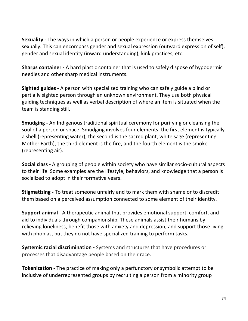**Sexuality -** The ways in which a person or people experience or express themselves sexually. This can encompass gender and sexual expression (outward expression of self), gender and sexual identity (inward understanding), kink practices, etc.   

**Sharps container -** A hard plastic container that is used to safely dispose of hypodermic needles and other sharp medical instruments.

**Sighted guides -** A person with specialized training who can safely guide a blind or partially sighted person through an unknown environment. They use both physical guiding techniques as well as verbal description of where an item is situated when the team is standing still.

**Smudging -** An Indigenous traditional spiritual ceremony for purifying or cleansing the soul of a person or space. Smudging involves four elements: the first element is typically a shell (representing water), the second is the sacred plant, white sage (representing Mother Earth), the third element is the fire, and the fourth element is the smoke (representing air).

**Social class -** A grouping of people within society who have similar socio-cultural aspects to their life. Some examples are the lifestyle, behaviors, and knowledge that a person is socialized to adopt in their formative years.

**Stigmatizing -** To treat someone unfairly and to mark them with shame or to discredit them based on a perceived assumption connected to some element of their identity.

**Support animal -** A therapeutic animal that provides emotional support, comfort, and aid to individuals through companionship. These animals assist their humans by relieving loneliness, benefit those with anxiety and depression, and support those living with phobias, but they do not have specialized training to perform tasks.

**Systemic racial discrimination -** Systems and structures that have procedures or processes that disadvantage people based on their race.

**Tokenization -** The practice of making only a perfunctory or symbolic attempt to be inclusive of underrepresented groups by recruiting a person from a minority group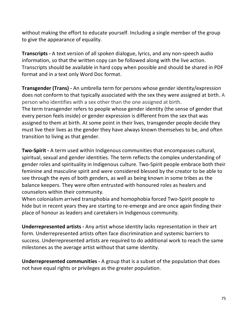without making the effort to educate yourself. Including a single member of the group to give the appearance of equality.

**Transcripts -** A text version of all spoken dialogue, lyrics, and any non-speech audio information, so that the written copy can be followed along with the live action. Transcripts should be available in hard copy when possible and should be shared in PDF format and in a text only Word Doc format.

**Transgender (Trans) -** An umbrella term for persons whose gender identity/expression does not conform to that typically associated with the sex they were assigned at birth. A person who identifies with a sex other than the one assigned at birth. The term transgender refers to people whose gender identity (the sense of gender that every person feels inside) or gender expression is different from the sex that was assigned to them at birth. At some point in their lives, transgender people decide they must live their lives as the gender they have always known themselves to be, and often transition to living as that gender.

**Two-Spirit -** A term used within Indigenous communities that encompasses cultural, spiritual, sexual and gender identities. The term reflects the complex understanding of gender roles and spirituality in Indigenous culture. Two-Spirit people embrace both their feminine and masculine spirit and were considered blessed by the creator to be able to see through the eyes of both genders, as well as being known in some tribes as the balance keepers. They were often entrusted with honoured roles as healers and counselors within their community.

When colonialism arrived transphobia and homophobia forced Two-Spirit people to hide but in recent years they are starting to re-emerge and are once again finding their place of honour as leaders and caretakers in Indigenous community.

**Underrepresented artists -** Any artist whose identity lacks representation in their art form. Underrepresented artists often face discrimination and systemic barriers to success. Underrepresented artists are required to do additional work to reach the same milestones as the average artist without that same identity.

**Underrepresented communities -** A group that is a subset of the population that does not have equal rights or privileges as the greater population.